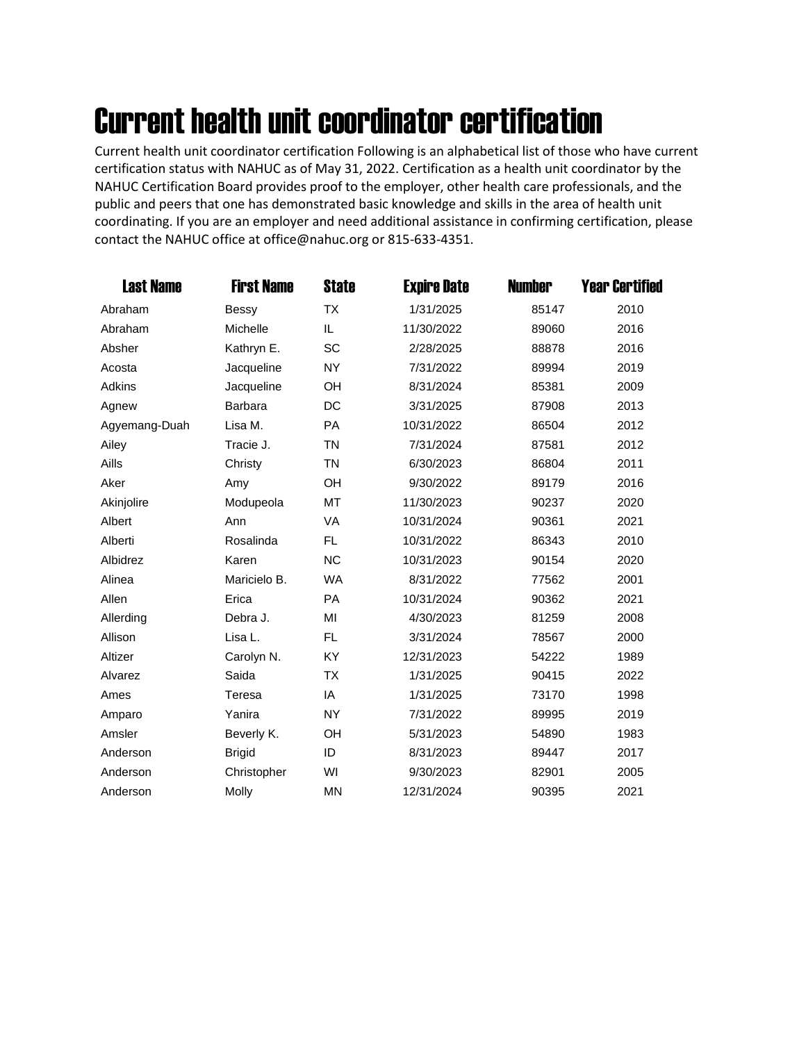## Current health unit coordinator certification

Current health unit coordinator certification Following is an alphabetical list of those who have current certification status with NAHUC as of May 31, 2022. Certification as a health unit coordinator by the NAHUC Certification Board provides proof to the employer, other health care professionals, and the public and peers that one has demonstrated basic knowledge and skills in the area of health unit coordinating. If you are an employer and need additional assistance in confirming certification, please contact the NAHUC office at office@nahuc.org or 815-633-4351.

| <b>Last Name</b> | <b>First Name</b> | <b>State</b> | <b>Expire Date</b> | <b>Number</b> | <b>Year Certified</b> |
|------------------|-------------------|--------------|--------------------|---------------|-----------------------|
| Abraham          | Bessy             | <b>TX</b>    | 1/31/2025          | 85147         | 2010                  |
| Abraham          | Michelle          | IL.          | 11/30/2022         | 89060         | 2016                  |
| Absher           | Kathryn E.        | <b>SC</b>    | 2/28/2025          | 88878         | 2016                  |
| Acosta           | Jacqueline        | <b>NY</b>    | 7/31/2022          | 89994         | 2019                  |
| Adkins           | Jacqueline        | <b>OH</b>    | 8/31/2024          | 85381         | 2009                  |
| Agnew            | Barbara           | DC           | 3/31/2025          | 87908         | 2013                  |
| Agyemang-Duah    | Lisa M.           | <b>PA</b>    | 10/31/2022         | 86504         | 2012                  |
| Ailey            | Tracie J.         | <b>TN</b>    | 7/31/2024          | 87581         | 2012                  |
| Aills            | Christy           | <b>TN</b>    | 6/30/2023          | 86804         | 2011                  |
| Aker             | Amy               | OH           | 9/30/2022          | 89179         | 2016                  |
| Akinjolire       | Modupeola         | MT           | 11/30/2023         | 90237         | 2020                  |
| Albert           | Ann               | <b>VA</b>    | 10/31/2024         | 90361         | 2021                  |
| Alberti          | Rosalinda         | <b>FL</b>    | 10/31/2022         | 86343         | 2010                  |
| Albidrez         | Karen             | <b>NC</b>    | 10/31/2023         | 90154         | 2020                  |
| Alinea           | Maricielo B.      | <b>WA</b>    | 8/31/2022          | 77562         | 2001                  |
| Allen            | Erica             | <b>PA</b>    | 10/31/2024         | 90362         | 2021                  |
| Allerding        | Debra J.          | MI           | 4/30/2023          | 81259         | 2008                  |
| Allison          | Lisa L.           | FL.          | 3/31/2024          | 78567         | 2000                  |
| Altizer          | Carolyn N.        | KY           | 12/31/2023         | 54222         | 1989                  |
| Alvarez          | Saida             | <b>TX</b>    | 1/31/2025          | 90415         | 2022                  |
| Ames             | Teresa            | IA           | 1/31/2025          | 73170         | 1998                  |
| Amparo           | Yanira            | <b>NY</b>    | 7/31/2022          | 89995         | 2019                  |
| Amsler           | Beverly K.        | <b>OH</b>    | 5/31/2023          | 54890         | 1983                  |
| Anderson         | <b>Brigid</b>     | ID           | 8/31/2023          | 89447         | 2017                  |
| Anderson         | Christopher       | WI           | 9/30/2023          | 82901         | 2005                  |
| Anderson         | Molly             | <b>MN</b>    | 12/31/2024         | 90395         | 2021                  |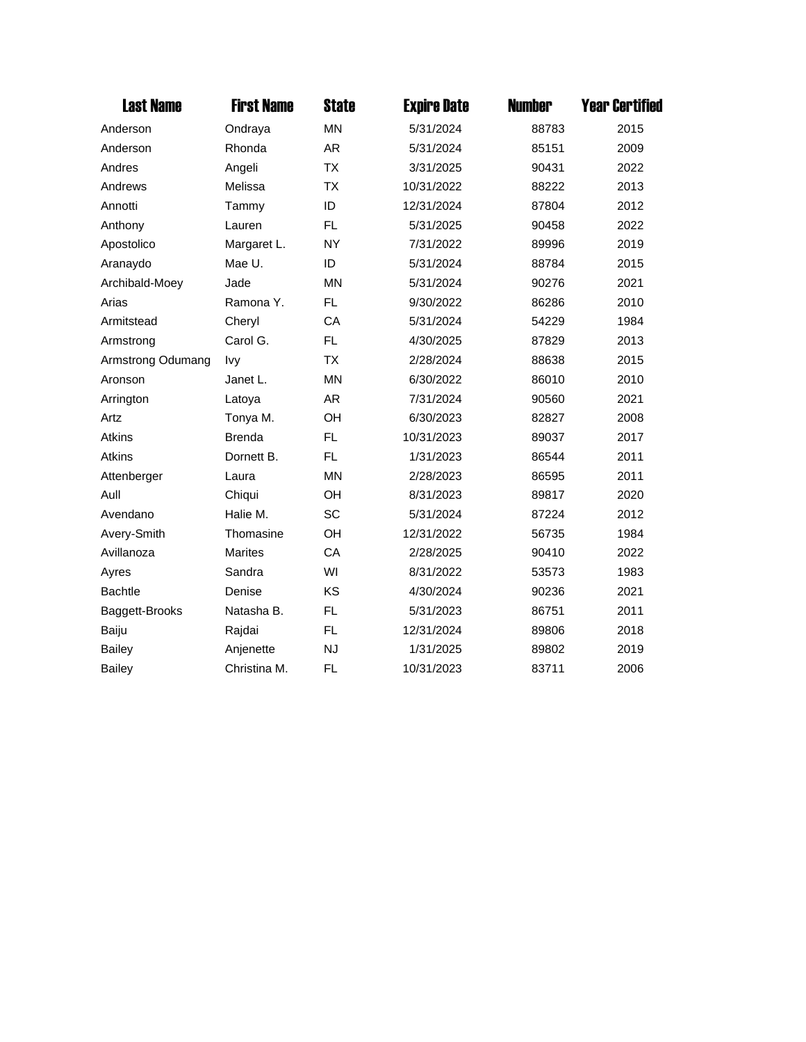| <b>Last Name</b>  | <b>First Name</b> | <b>State</b> | <b>Expire Date</b> | <b>Number</b> | <b>Year Certified</b> |
|-------------------|-------------------|--------------|--------------------|---------------|-----------------------|
| Anderson          | Ondraya           | <b>MN</b>    | 5/31/2024          | 88783         | 2015                  |
| Anderson          | Rhonda            | AR           | 5/31/2024          | 85151         | 2009                  |
| Andres            | Angeli            | <b>TX</b>    | 3/31/2025          | 90431         | 2022                  |
| Andrews           | Melissa           | <b>TX</b>    | 10/31/2022         | 88222         | 2013                  |
| Annotti           | Tammy             | ID           | 12/31/2024         | 87804         | 2012                  |
| Anthony           | Lauren            | FL           | 5/31/2025          | 90458         | 2022                  |
| Apostolico        | Margaret L.       | <b>NY</b>    | 7/31/2022          | 89996         | 2019                  |
| Aranaydo          | Mae U.            | ID           | 5/31/2024          | 88784         | 2015                  |
| Archibald-Moey    | Jade              | <b>MN</b>    | 5/31/2024          | 90276         | 2021                  |
| Arias             | Ramona Y.         | FL           | 9/30/2022          | 86286         | 2010                  |
| Armitstead        | Cheryl            | CA           | 5/31/2024          | 54229         | 1984                  |
| Armstrong         | Carol G.          | FL.          | 4/30/2025          | 87829         | 2013                  |
| Armstrong Odumang | Ivy               | <b>TX</b>    | 2/28/2024          | 88638         | 2015                  |
| Aronson           | Janet L.          | <b>MN</b>    | 6/30/2022          | 86010         | 2010                  |
| Arrington         | Latoya            | AR           | 7/31/2024          | 90560         | 2021                  |
| Artz              | Tonya M.          | OH           | 6/30/2023          | 82827         | 2008                  |
| Atkins            | <b>Brenda</b>     | FL.          | 10/31/2023         | 89037         | 2017                  |
| Atkins            | Dornett B.        | FL           | 1/31/2023          | 86544         | 2011                  |
| Attenberger       | Laura             | <b>MN</b>    | 2/28/2023          | 86595         | 2011                  |
| Aull              | Chiqui            | OH           | 8/31/2023          | 89817         | 2020                  |
| Avendano          | Halie M.          | SC           | 5/31/2024          | 87224         | 2012                  |
| Avery-Smith       | Thomasine         | OH           | 12/31/2022         | 56735         | 1984                  |
| Avillanoza        | <b>Marites</b>    | CA           | 2/28/2025          | 90410         | 2022                  |
| Ayres             | Sandra            | WI           | 8/31/2022          | 53573         | 1983                  |
| <b>Bachtle</b>    | Denise            | KS           | 4/30/2024          | 90236         | 2021                  |
| Baggett-Brooks    | Natasha B.        | <b>FL</b>    | 5/31/2023          | 86751         | 2011                  |
| Baiju             | Rajdai            | FL.          | 12/31/2024         | 89806         | 2018                  |
| <b>Bailey</b>     | Anjenette         | <b>NJ</b>    | 1/31/2025          | 89802         | 2019                  |
| <b>Bailey</b>     | Christina M.      | <b>FL</b>    | 10/31/2023         | 83711         | 2006                  |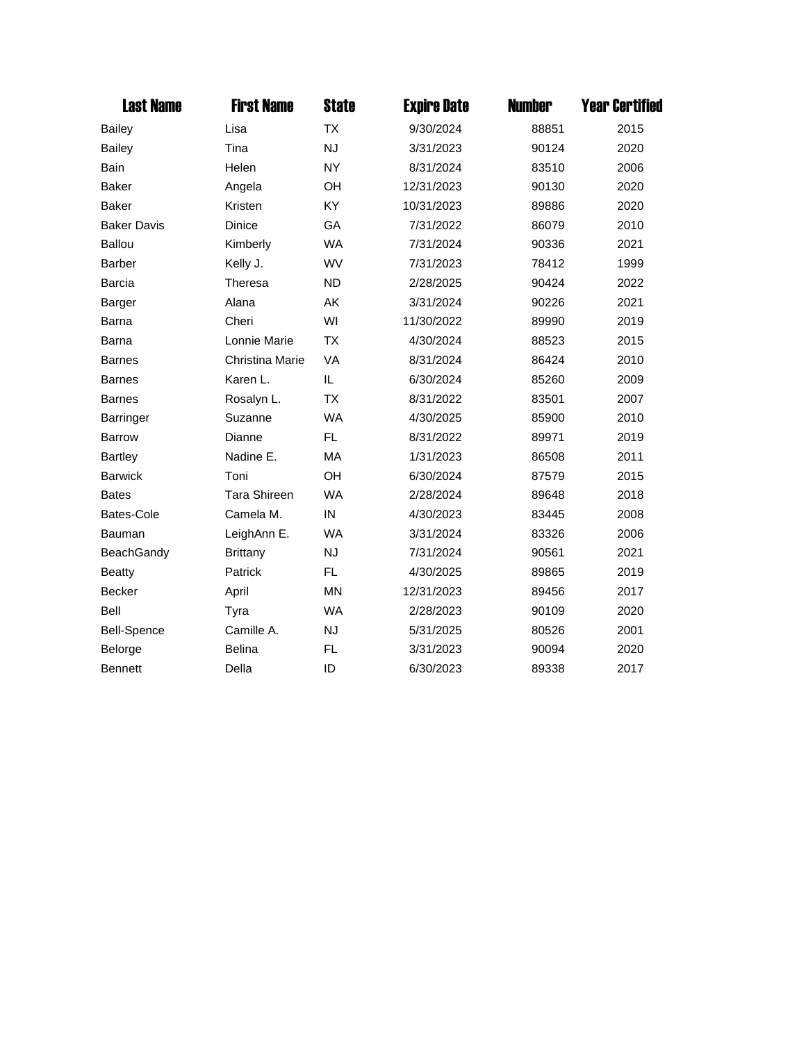| <b>Last Name</b>   | <b>First Name</b>   | <b>State</b> | <b>Expire Date</b> | <b>Number</b> | <b>Year Certified</b> |
|--------------------|---------------------|--------------|--------------------|---------------|-----------------------|
| <b>Bailey</b>      | Lisa                | <b>TX</b>    | 9/30/2024          | 88851         | 2015                  |
| <b>Bailey</b>      | Tina                | <b>NJ</b>    | 3/31/2023          | 90124         | 2020                  |
| Bain               | Helen               | <b>NY</b>    | 8/31/2024          | 83510         | 2006                  |
| <b>Baker</b>       | Angela              | OH           | 12/31/2023         | 90130         | 2020                  |
| <b>Baker</b>       | Kristen             | KY           | 10/31/2023         | 89886         | 2020                  |
| <b>Baker Davis</b> | Dinice              | GA           | 7/31/2022          | 86079         | 2010                  |
| <b>Ballou</b>      | Kimberly            | <b>WA</b>    | 7/31/2024          | 90336         | 2021                  |
| Barber             | Kelly J.            | WV           | 7/31/2023          | 78412         | 1999                  |
| Barcia             | Theresa             | <b>ND</b>    | 2/28/2025          | 90424         | 2022                  |
| Barger             | Alana               | AK           | 3/31/2024          | 90226         | 2021                  |
| Barna              | Cheri               | WI           | 11/30/2022         | 89990         | 2019                  |
| Barna              | Lonnie Marie        | <b>TX</b>    | 4/30/2024          | 88523         | 2015                  |
| <b>Barnes</b>      | Christina Marie     | VA           | 8/31/2024          | 86424         | 2010                  |
| <b>Barnes</b>      | Karen L.            | IL           | 6/30/2024          | 85260         | 2009                  |
| <b>Barnes</b>      | Rosalyn L.          | <b>TX</b>    | 8/31/2022          | 83501         | 2007                  |
| <b>Barringer</b>   | Suzanne             | <b>WA</b>    | 4/30/2025          | 85900         | 2010                  |
| <b>Barrow</b>      | Dianne              | FL.          | 8/31/2022          | 89971         | 2019                  |
| <b>Bartley</b>     | Nadine E.           | MA           | 1/31/2023          | 86508         | 2011                  |
| <b>Barwick</b>     | Toni                | OH           | 6/30/2024          | 87579         | 2015                  |
| <b>Bates</b>       | <b>Tara Shireen</b> | <b>WA</b>    | 2/28/2024          | 89648         | 2018                  |
| Bates-Cole         | Camela M.           | IN           | 4/30/2023          | 83445         | 2008                  |
| Bauman             | LeighAnn E.         | <b>WA</b>    | 3/31/2024          | 83326         | 2006                  |
| <b>BeachGandy</b>  | <b>Brittany</b>     | <b>NJ</b>    | 7/31/2024          | 90561         | 2021                  |
| <b>Beatty</b>      | Patrick             | FL           | 4/30/2025          | 89865         | 2019                  |
| <b>Becker</b>      | April               | <b>MN</b>    | 12/31/2023         | 89456         | 2017                  |
| Bell               | Tyra                | <b>WA</b>    | 2/28/2023          | 90109         | 2020                  |
| <b>Bell-Spence</b> | Camille A.          | <b>NJ</b>    | 5/31/2025          | 80526         | 2001                  |
| Belorge            | <b>Belina</b>       | FL           | 3/31/2023          | 90094         | 2020                  |
| <b>Bennett</b>     | Della               | ID           | 6/30/2023          | 89338         | 2017                  |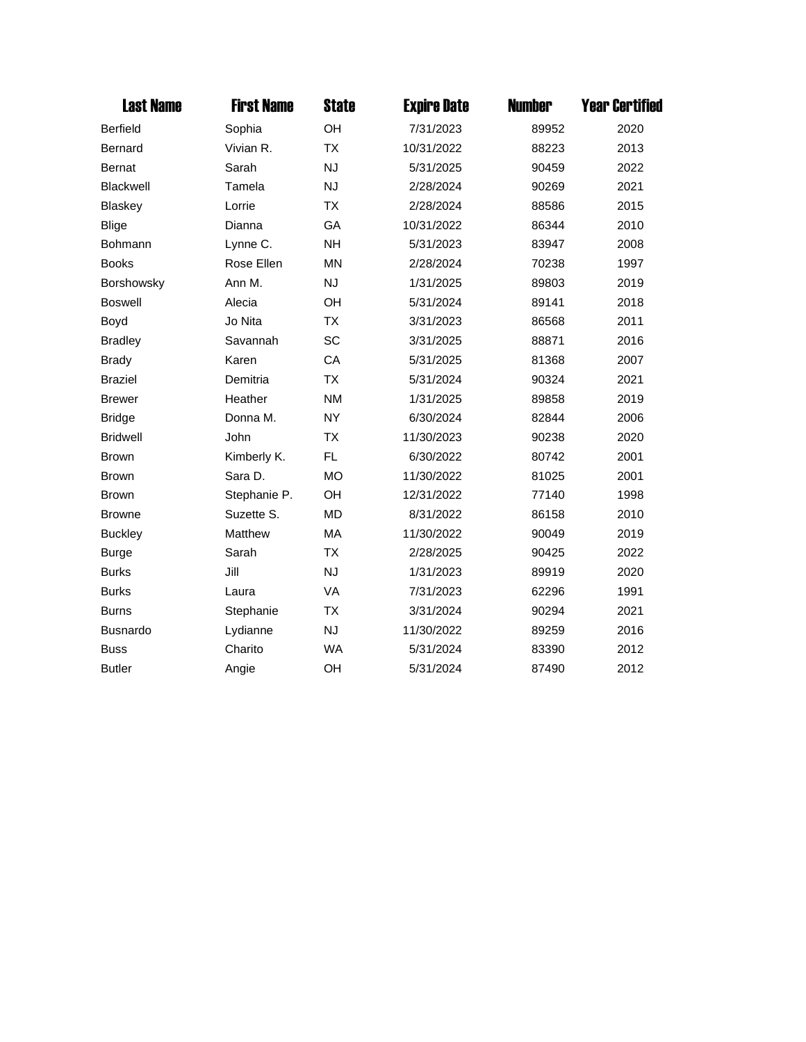| <b>Last Name</b> | <b>First Name</b> | <b>State</b> | <b>Expire Date</b> | <b>Number</b> | <b>Year Certified</b> |
|------------------|-------------------|--------------|--------------------|---------------|-----------------------|
| <b>Berfield</b>  | Sophia            | OH           | 7/31/2023          | 89952         | 2020                  |
| <b>Bernard</b>   | Vivian R.         | <b>TX</b>    | 10/31/2022         | 88223         | 2013                  |
| Bernat           | Sarah             | <b>NJ</b>    | 5/31/2025          | 90459         | 2022                  |
| <b>Blackwell</b> | Tamela            | <b>NJ</b>    | 2/28/2024          | 90269         | 2021                  |
| <b>Blaskey</b>   | Lorrie            | <b>TX</b>    | 2/28/2024          | 88586         | 2015                  |
| <b>Blige</b>     | Dianna            | GA           | 10/31/2022         | 86344         | 2010                  |
| Bohmann          | Lynne C.          | <b>NH</b>    | 5/31/2023          | 83947         | 2008                  |
| <b>Books</b>     | Rose Ellen        | <b>MN</b>    | 2/28/2024          | 70238         | 1997                  |
| Borshowsky       | Ann M.            | <b>NJ</b>    | 1/31/2025          | 89803         | 2019                  |
| <b>Boswell</b>   | Alecia            | OH           | 5/31/2024          | 89141         | 2018                  |
| Boyd             | Jo Nita           | <b>TX</b>    | 3/31/2023          | 86568         | 2011                  |
| <b>Bradley</b>   | Savannah          | <b>SC</b>    | 3/31/2025          | 88871         | 2016                  |
| <b>Brady</b>     | Karen             | CA           | 5/31/2025          | 81368         | 2007                  |
| <b>Braziel</b>   | Demitria          | <b>TX</b>    | 5/31/2024          | 90324         | 2021                  |
| <b>Brewer</b>    | Heather           | <b>NM</b>    | 1/31/2025          | 89858         | 2019                  |
| <b>Bridge</b>    | Donna M.          | <b>NY</b>    | 6/30/2024          | 82844         | 2006                  |
| <b>Bridwell</b>  | John              | ТX           | 11/30/2023         | 90238         | 2020                  |
| <b>Brown</b>     | Kimberly K.       | FL           | 6/30/2022          | 80742         | 2001                  |
| <b>Brown</b>     | Sara D.           | <b>MO</b>    | 11/30/2022         | 81025         | 2001                  |
| <b>Brown</b>     | Stephanie P.      | OH           | 12/31/2022         | 77140         | 1998                  |
| <b>Browne</b>    | Suzette S.        | <b>MD</b>    | 8/31/2022          | 86158         | 2010                  |
| <b>Buckley</b>   | Matthew           | MA           | 11/30/2022         | 90049         | 2019                  |
| <b>Burge</b>     | Sarah             | <b>TX</b>    | 2/28/2025          | 90425         | 2022                  |
| <b>Burks</b>     | Jill              | <b>NJ</b>    | 1/31/2023          | 89919         | 2020                  |
| <b>Burks</b>     | Laura             | VA           | 7/31/2023          | 62296         | 1991                  |
| <b>Burns</b>     | Stephanie         | <b>TX</b>    | 3/31/2024          | 90294         | 2021                  |
| <b>Busnardo</b>  | Lydianne          | <b>NJ</b>    | 11/30/2022         | 89259         | 2016                  |
| <b>Buss</b>      | Charito           | <b>WA</b>    | 5/31/2024          | 83390         | 2012                  |
| <b>Butler</b>    | Angie             | OH           | 5/31/2024          | 87490         | 2012                  |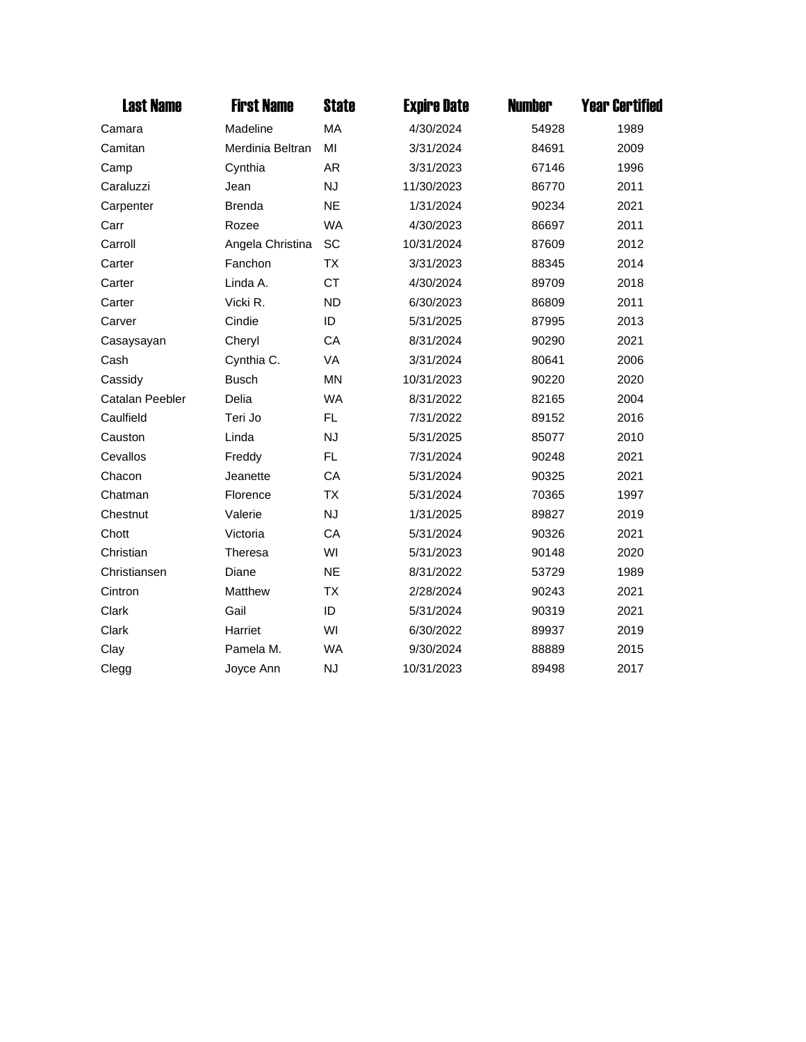| <b>Last Name</b> | <b>First Name</b> | <b>State</b> | <b>Expire Date</b> | <b>Number</b> | <b>Year Certified</b> |
|------------------|-------------------|--------------|--------------------|---------------|-----------------------|
| Camara           | Madeline          | MA           | 4/30/2024          | 54928         | 1989                  |
| Camitan          | Merdinia Beltran  | MI           | 3/31/2024          | 84691         | 2009                  |
| Camp             | Cynthia           | AR           | 3/31/2023          | 67146         | 1996                  |
| Caraluzzi        | Jean              | <b>NJ</b>    | 11/30/2023         | 86770         | 2011                  |
| Carpenter        | <b>Brenda</b>     | <b>NE</b>    | 1/31/2024          | 90234         | 2021                  |
| Carr             | Rozee             | <b>WA</b>    | 4/30/2023          | 86697         | 2011                  |
| Carroll          | Angela Christina  | SC           | 10/31/2024         | 87609         | 2012                  |
| Carter           | Fanchon           | <b>TX</b>    | 3/31/2023          | 88345         | 2014                  |
| Carter           | Linda A.          | <b>CT</b>    | 4/30/2024          | 89709         | 2018                  |
| Carter           | Vicki R.          | <b>ND</b>    | 6/30/2023          | 86809         | 2011                  |
| Carver           | Cindie            | ID           | 5/31/2025          | 87995         | 2013                  |
| Casaysayan       | Cheryl            | CA           | 8/31/2024          | 90290         | 2021                  |
| Cash             | Cynthia C.        | VA           | 3/31/2024          | 80641         | 2006                  |
| Cassidy          | <b>Busch</b>      | <b>MN</b>    | 10/31/2023         | 90220         | 2020                  |
| Catalan Peebler  | Delia             | <b>WA</b>    | 8/31/2022          | 82165         | 2004                  |
| Caulfield        | Teri Jo           | FL           | 7/31/2022          | 89152         | 2016                  |
| Causton          | Linda             | <b>NJ</b>    | 5/31/2025          | 85077         | 2010                  |
| Cevallos         | Freddy            | FL.          | 7/31/2024          | 90248         | 2021                  |
| Chacon           | Jeanette          | CA           | 5/31/2024          | 90325         | 2021                  |
| Chatman          | Florence          | <b>TX</b>    | 5/31/2024          | 70365         | 1997                  |
| Chestnut         | Valerie           | <b>NJ</b>    | 1/31/2025          | 89827         | 2019                  |
| Chott            | Victoria          | CA           | 5/31/2024          | 90326         | 2021                  |
| Christian        | Theresa           | WI           | 5/31/2023          | 90148         | 2020                  |
| Christiansen     | Diane             | <b>NE</b>    | 8/31/2022          | 53729         | 1989                  |
| Cintron          | Matthew           | <b>TX</b>    | 2/28/2024          | 90243         | 2021                  |
| Clark            | Gail              | ID           | 5/31/2024          | 90319         | 2021                  |
| Clark            | Harriet           | WI           | 6/30/2022          | 89937         | 2019                  |
| Clay             | Pamela M.         | <b>WA</b>    | 9/30/2024          | 88889         | 2015                  |
| Clegg            | Joyce Ann         | <b>NJ</b>    | 10/31/2023         | 89498         | 2017                  |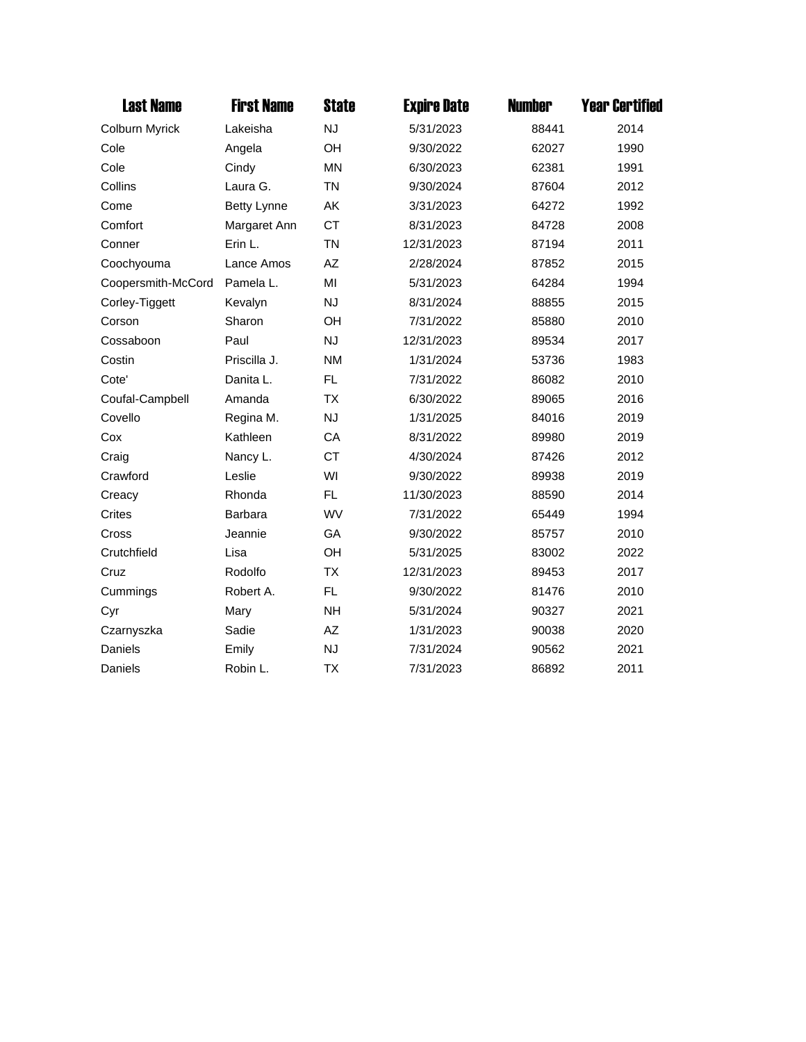| <b>Last Name</b>   | <b>First Name</b>  | <b>State</b> | <b>Expire Date</b> | <b>Number</b> | <b>Year Certified</b> |
|--------------------|--------------------|--------------|--------------------|---------------|-----------------------|
| Colburn Myrick     | Lakeisha           | <b>NJ</b>    | 5/31/2023          | 88441         | 2014                  |
| Cole               | Angela             | OH           | 9/30/2022          | 62027         | 1990                  |
| Cole               | Cindy              | <b>MN</b>    | 6/30/2023          | 62381         | 1991                  |
| Collins            | Laura G.           | <b>TN</b>    | 9/30/2024          | 87604         | 2012                  |
| Come               | <b>Betty Lynne</b> | AK           | 3/31/2023          | 64272         | 1992                  |
| Comfort            | Margaret Ann       | <b>CT</b>    | 8/31/2023          | 84728         | 2008                  |
| Conner             | Erin L.            | <b>TN</b>    | 12/31/2023         | 87194         | 2011                  |
| Coochyouma         | Lance Amos         | AZ           | 2/28/2024          | 87852         | 2015                  |
| Coopersmith-McCord | Pamela L.          | MI           | 5/31/2023          | 64284         | 1994                  |
| Corley-Tiggett     | Kevalyn            | <b>NJ</b>    | 8/31/2024          | 88855         | 2015                  |
| Corson             | Sharon             | OH           | 7/31/2022          | 85880         | 2010                  |
| Cossaboon          | Paul               | <b>NJ</b>    | 12/31/2023         | 89534         | 2017                  |
| Costin             | Priscilla J.       | <b>NM</b>    | 1/31/2024          | 53736         | 1983                  |
| Cote'              | Danita L.          | FL           | 7/31/2022          | 86082         | 2010                  |
| Coufal-Campbell    | Amanda             | <b>TX</b>    | 6/30/2022          | 89065         | 2016                  |
| Covello            | Regina M.          | <b>NJ</b>    | 1/31/2025          | 84016         | 2019                  |
| Cox                | Kathleen           | CA           | 8/31/2022          | 89980         | 2019                  |
| Craig              | Nancy L.           | <b>CT</b>    | 4/30/2024          | 87426         | 2012                  |
| Crawford           | Leslie             | WI           | 9/30/2022          | 89938         | 2019                  |
| Creacy             | Rhonda             | FL.          | 11/30/2023         | 88590         | 2014                  |
| Crites             | Barbara            | <b>WV</b>    | 7/31/2022          | 65449         | 1994                  |
| Cross              | Jeannie            | GA           | 9/30/2022          | 85757         | 2010                  |
| Crutchfield        | Lisa               | OH           | 5/31/2025          | 83002         | 2022                  |
| Cruz               | Rodolfo            | <b>TX</b>    | 12/31/2023         | 89453         | 2017                  |
| Cummings           | Robert A.          | FL           | 9/30/2022          | 81476         | 2010                  |
| Cyr                | Mary               | <b>NH</b>    | 5/31/2024          | 90327         | 2021                  |
| Czarnyszka         | Sadie              | AZ           | 1/31/2023          | 90038         | 2020                  |
| Daniels            | Emily              | <b>NJ</b>    | 7/31/2024          | 90562         | 2021                  |
| Daniels            | Robin L.           | ТX           | 7/31/2023          | 86892         | 2011                  |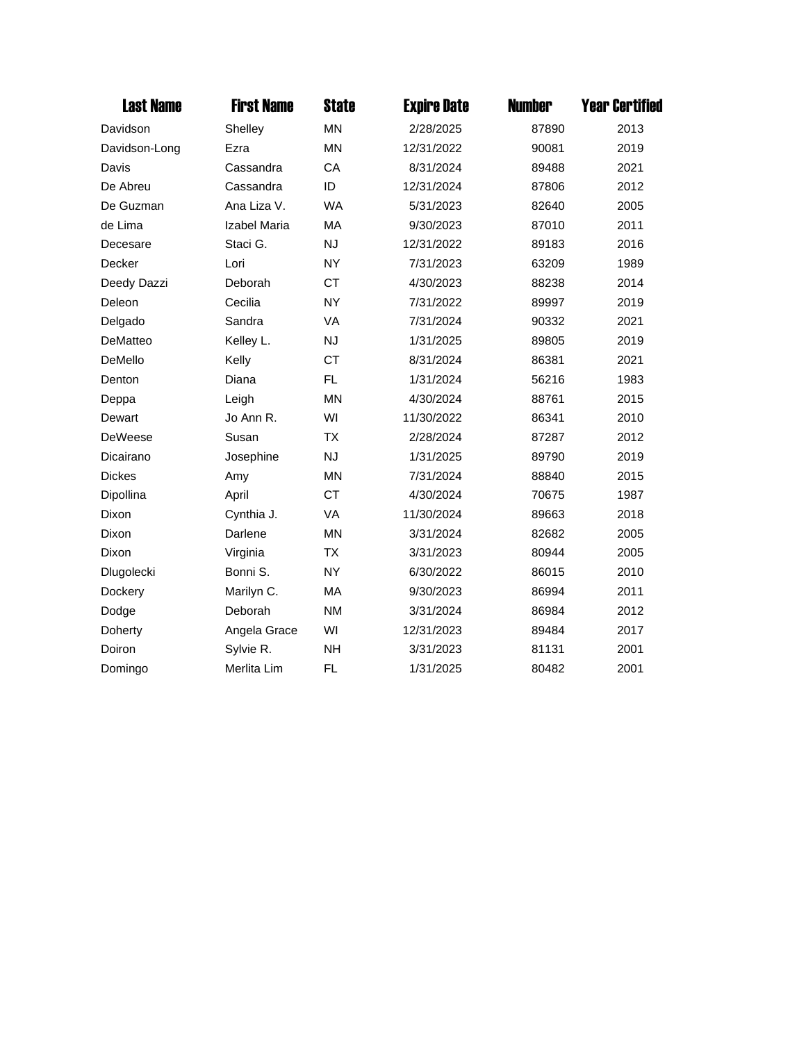| <b>Last Name</b> | <b>First Name</b> | <b>State</b> | <b>Expire Date</b> | <b>Number</b> | <b>Year Certified</b> |
|------------------|-------------------|--------------|--------------------|---------------|-----------------------|
| Davidson         | Shelley           | <b>MN</b>    | 2/28/2025          | 87890         | 2013                  |
| Davidson-Long    | Ezra              | <b>MN</b>    | 12/31/2022         | 90081         | 2019                  |
| Davis            | Cassandra         | CA           | 8/31/2024          | 89488         | 2021                  |
| De Abreu         | Cassandra         | ID           | 12/31/2024         | 87806         | 2012                  |
| De Guzman        | Ana Liza V.       | <b>WA</b>    | 5/31/2023          | 82640         | 2005                  |
| de Lima          | Izabel Maria      | MA           | 9/30/2023          | 87010         | 2011                  |
| Decesare         | Staci G.          | <b>NJ</b>    | 12/31/2022         | 89183         | 2016                  |
| Decker           | Lori              | <b>NY</b>    | 7/31/2023          | 63209         | 1989                  |
| Deedy Dazzi      | Deborah           | <b>CT</b>    | 4/30/2023          | 88238         | 2014                  |
| Deleon           | Cecilia           | <b>NY</b>    | 7/31/2022          | 89997         | 2019                  |
| Delgado          | Sandra            | VA           | 7/31/2024          | 90332         | 2021                  |
| DeMatteo         | Kelley L.         | <b>NJ</b>    | 1/31/2025          | 89805         | 2019                  |
| DeMello          | Kelly             | <b>CT</b>    | 8/31/2024          | 86381         | 2021                  |
| Denton           | Diana             | FL           | 1/31/2024          | 56216         | 1983                  |
| Deppa            | Leigh             | <b>MN</b>    | 4/30/2024          | 88761         | 2015                  |
| Dewart           | Jo Ann R.         | WI           | 11/30/2022         | 86341         | 2010                  |
| <b>DeWeese</b>   | Susan             | <b>TX</b>    | 2/28/2024          | 87287         | 2012                  |
| Dicairano        | Josephine         | <b>NJ</b>    | 1/31/2025          | 89790         | 2019                  |
| <b>Dickes</b>    | Amy               | <b>MN</b>    | 7/31/2024          | 88840         | 2015                  |
| Dipollina        | April             | <b>CT</b>    | 4/30/2024          | 70675         | 1987                  |
| Dixon            | Cynthia J.        | VA           | 11/30/2024         | 89663         | 2018                  |
| Dixon            | Darlene           | <b>MN</b>    | 3/31/2024          | 82682         | 2005                  |
| Dixon            | Virginia          | <b>TX</b>    | 3/31/2023          | 80944         | 2005                  |
| Dlugolecki       | Bonni S.          | <b>NY</b>    | 6/30/2022          | 86015         | 2010                  |
| Dockery          | Marilyn C.        | MA           | 9/30/2023          | 86994         | 2011                  |
| Dodge            | Deborah           | <b>NM</b>    | 3/31/2024          | 86984         | 2012                  |
| Doherty          | Angela Grace      | WI           | 12/31/2023         | 89484         | 2017                  |
| Doiron           | Sylvie R.         | <b>NH</b>    | 3/31/2023          | 81131         | 2001                  |
| Domingo          | Merlita Lim       | <b>FL</b>    | 1/31/2025          | 80482         | 2001                  |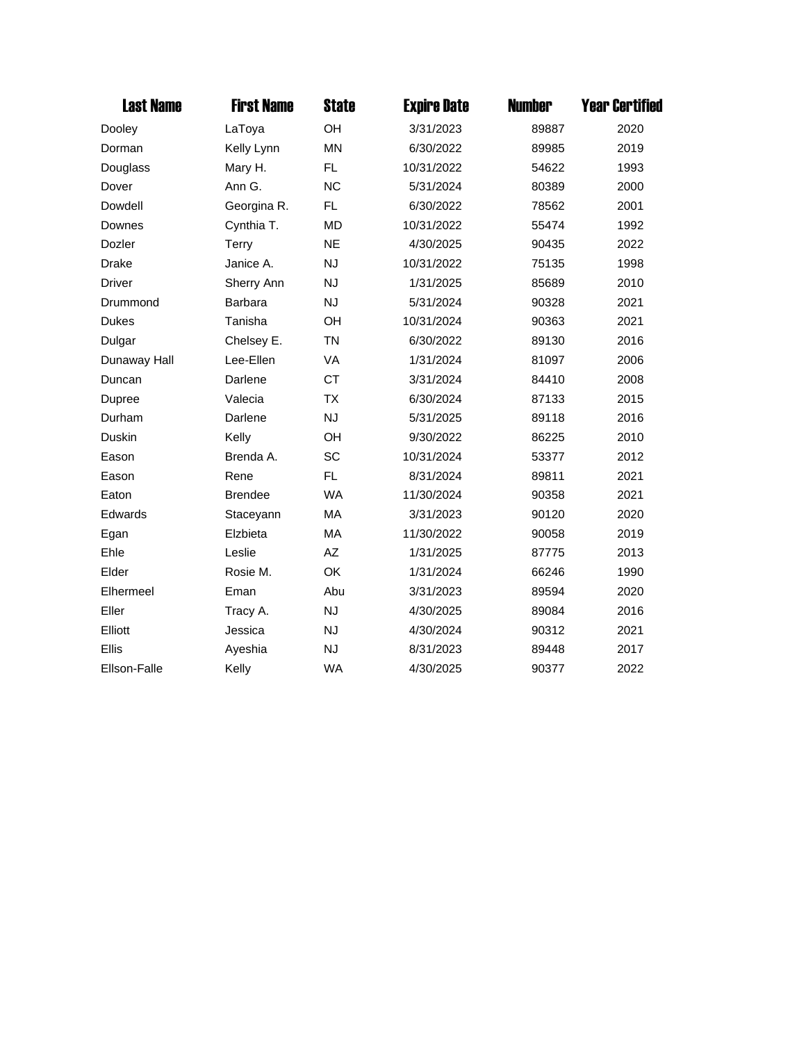| <b>Last Name</b> | <b>First Name</b> | <b>State</b> | <b>Expire Date</b> | <b>Number</b> | <b>Year Certified</b> |
|------------------|-------------------|--------------|--------------------|---------------|-----------------------|
| Dooley           | LaToya            | OH           | 3/31/2023          | 89887         | 2020                  |
| Dorman           | Kelly Lynn        | <b>MN</b>    | 6/30/2022          | 89985         | 2019                  |
| Douglass         | Mary H.           | FL           | 10/31/2022         | 54622         | 1993                  |
| Dover            | Ann G.            | <b>NC</b>    | 5/31/2024          | 80389         | 2000                  |
| Dowdell          | Georgina R.       | FL.          | 6/30/2022          | 78562         | 2001                  |
| Downes           | Cynthia T.        | <b>MD</b>    | 10/31/2022         | 55474         | 1992                  |
| Dozler           | Terry             | <b>NE</b>    | 4/30/2025          | 90435         | 2022                  |
| <b>Drake</b>     | Janice A.         | <b>NJ</b>    | 10/31/2022         | 75135         | 1998                  |
| Driver           | Sherry Ann        | <b>NJ</b>    | 1/31/2025          | 85689         | 2010                  |
| Drummond         | Barbara           | <b>NJ</b>    | 5/31/2024          | 90328         | 2021                  |
| <b>Dukes</b>     | Tanisha           | OH           | 10/31/2024         | 90363         | 2021                  |
| Dulgar           | Chelsey E.        | <b>TN</b>    | 6/30/2022          | 89130         | 2016                  |
| Dunaway Hall     | Lee-Ellen         | VA           | 1/31/2024          | 81097         | 2006                  |
| Duncan           | Darlene           | <b>CT</b>    | 3/31/2024          | 84410         | 2008                  |
| Dupree           | Valecia           | <b>TX</b>    | 6/30/2024          | 87133         | 2015                  |
| Durham           | Darlene           | <b>NJ</b>    | 5/31/2025          | 89118         | 2016                  |
| Duskin           | Kelly             | OH           | 9/30/2022          | 86225         | 2010                  |
| Eason            | Brenda A.         | SC           | 10/31/2024         | 53377         | 2012                  |
| Eason            | Rene              | FL.          | 8/31/2024          | 89811         | 2021                  |
| Eaton            | <b>Brendee</b>    | <b>WA</b>    | 11/30/2024         | 90358         | 2021                  |
| Edwards          | Staceyann         | MA           | 3/31/2023          | 90120         | 2020                  |
| Egan             | Elzbieta          | MA           | 11/30/2022         | 90058         | 2019                  |
| Ehle             | Leslie            | AZ           | 1/31/2025          | 87775         | 2013                  |
| Elder            | Rosie M.          | OK           | 1/31/2024          | 66246         | 1990                  |
| Elhermeel        | Eman              | Abu          | 3/31/2023          | 89594         | 2020                  |
| Eller            | Tracy A.          | <b>NJ</b>    | 4/30/2025          | 89084         | 2016                  |
| Elliott          | Jessica           | <b>NJ</b>    | 4/30/2024          | 90312         | 2021                  |
| Ellis            | Ayeshia           | <b>NJ</b>    | 8/31/2023          | 89448         | 2017                  |
| Ellson-Falle     | Kelly             | <b>WA</b>    | 4/30/2025          | 90377         | 2022                  |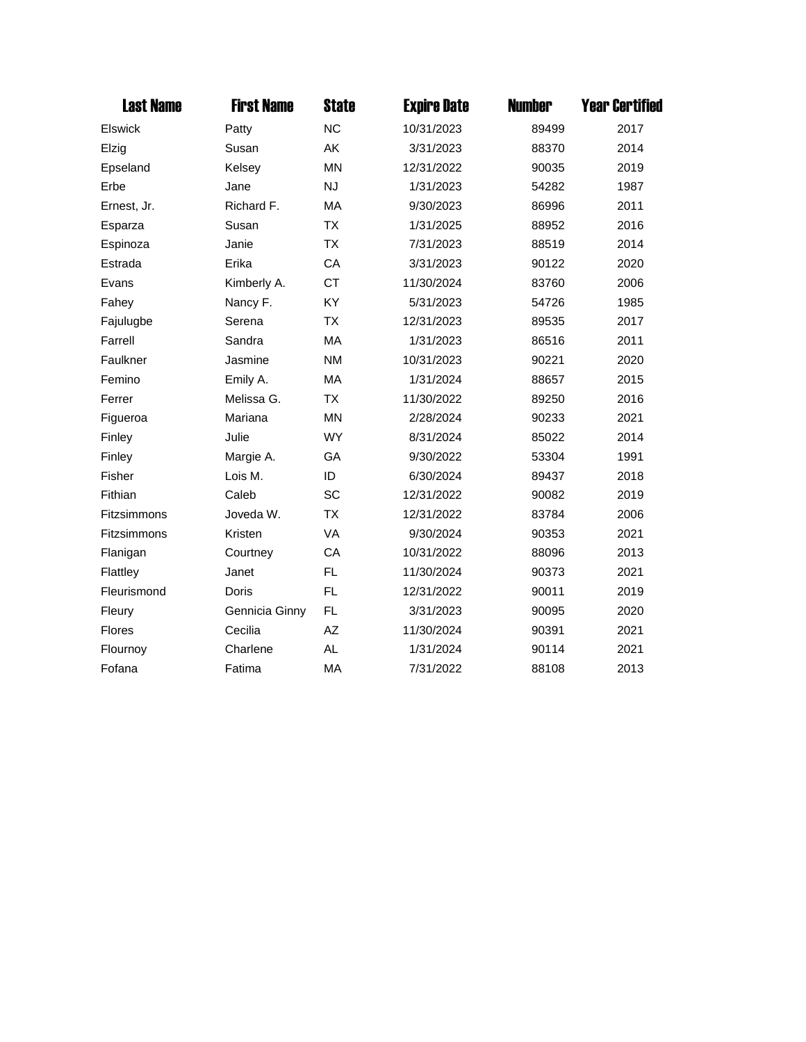| <b>Last Name</b> | <b>First Name</b> | <b>State</b> | <b>Expire Date</b> | <b>Number</b> | <b>Year Certified</b> |
|------------------|-------------------|--------------|--------------------|---------------|-----------------------|
| Elswick          | Patty             | <b>NC</b>    | 10/31/2023         | 89499         | 2017                  |
| Elzig            | Susan             | AK           | 3/31/2023          | 88370         | 2014                  |
| Epseland         | Kelsey            | <b>MN</b>    | 12/31/2022         | 90035         | 2019                  |
| Erbe             | Jane              | <b>NJ</b>    | 1/31/2023          | 54282         | 1987                  |
| Ernest, Jr.      | Richard F.        | MA           | 9/30/2023          | 86996         | 2011                  |
| Esparza          | Susan             | <b>TX</b>    | 1/31/2025          | 88952         | 2016                  |
| Espinoza         | Janie             | <b>TX</b>    | 7/31/2023          | 88519         | 2014                  |
| Estrada          | Erika             | CA           | 3/31/2023          | 90122         | 2020                  |
| Evans            | Kimberly A.       | <b>CT</b>    | 11/30/2024         | 83760         | 2006                  |
| Fahey            | Nancy F.          | KY           | 5/31/2023          | 54726         | 1985                  |
| Fajulugbe        | Serena            | <b>TX</b>    | 12/31/2023         | 89535         | 2017                  |
| Farrell          | Sandra            | MA           | 1/31/2023          | 86516         | 2011                  |
| Faulkner         | Jasmine           | <b>NM</b>    | 10/31/2023         | 90221         | 2020                  |
| Femino           | Emily A.          | MA           | 1/31/2024          | 88657         | 2015                  |
| Ferrer           | Melissa G.        | <b>TX</b>    | 11/30/2022         | 89250         | 2016                  |
| Figueroa         | Mariana           | <b>MN</b>    | 2/28/2024          | 90233         | 2021                  |
| Finley           | Julie             | <b>WY</b>    | 8/31/2024          | 85022         | 2014                  |
| Finley           | Margie A.         | GA           | 9/30/2022          | 53304         | 1991                  |
| Fisher           | Lois M.           | ID           | 6/30/2024          | 89437         | 2018                  |
| Fithian          | Caleb             | SC           | 12/31/2022         | 90082         | 2019                  |
| Fitzsimmons      | Joveda W.         | <b>TX</b>    | 12/31/2022         | 83784         | 2006                  |
| Fitzsimmons      | Kristen           | VA           | 9/30/2024          | 90353         | 2021                  |
| Flanigan         | Courtney          | CA           | 10/31/2022         | 88096         | 2013                  |
| Flattley         | Janet             | FL           | 11/30/2024         | 90373         | 2021                  |
| Fleurismond      | <b>Doris</b>      | <b>FL</b>    | 12/31/2022         | 90011         | 2019                  |
| Fleury           | Gennicia Ginny    | FL           | 3/31/2023          | 90095         | 2020                  |
| <b>Flores</b>    | Cecilia           | AZ           | 11/30/2024         | 90391         | 2021                  |
| Flournoy         | Charlene          | <b>AL</b>    | 1/31/2024          | 90114         | 2021                  |
| Fofana           | Fatima            | <b>MA</b>    | 7/31/2022          | 88108         | 2013                  |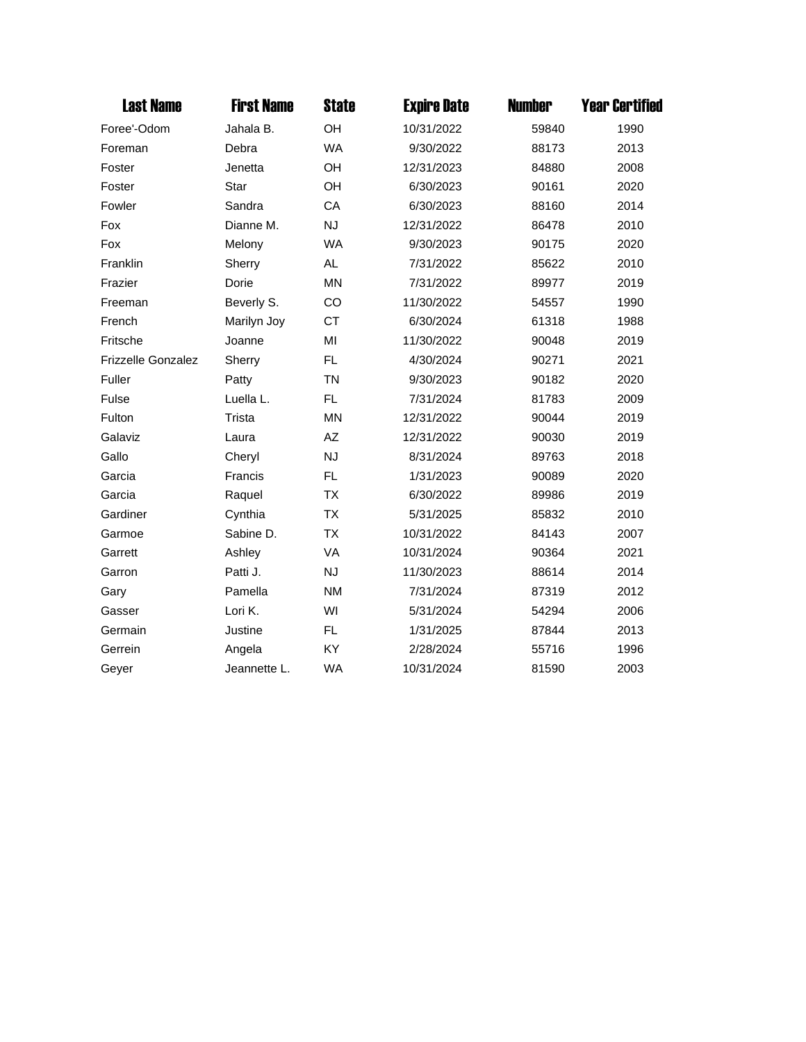| <b>Last Name</b>          | <b>First Name</b> | <b>State</b> | <b>Expire Date</b> | <b>Number</b> | <b>Year Certified</b> |
|---------------------------|-------------------|--------------|--------------------|---------------|-----------------------|
| Foree'-Odom               | Jahala B.         | OH           | 10/31/2022         | 59840         | 1990                  |
| Foreman                   | Debra             | <b>WA</b>    | 9/30/2022          | 88173         | 2013                  |
| Foster                    | Jenetta           | OH           | 12/31/2023         | 84880         | 2008                  |
| Foster                    | Star              | <b>OH</b>    | 6/30/2023          | 90161         | 2020                  |
| Fowler                    | Sandra            | CA           | 6/30/2023          | 88160         | 2014                  |
| Fox                       | Dianne M.         | <b>NJ</b>    | 12/31/2022         | 86478         | 2010                  |
| Fox                       | Melony            | <b>WA</b>    | 9/30/2023          | 90175         | 2020                  |
| Franklin                  | Sherry            | <b>AL</b>    | 7/31/2022          | 85622         | 2010                  |
| Frazier                   | Dorie             | <b>MN</b>    | 7/31/2022          | 89977         | 2019                  |
| Freeman                   | Beverly S.        | CO           | 11/30/2022         | 54557         | 1990                  |
| French                    | Marilyn Joy       | <b>CT</b>    | 6/30/2024          | 61318         | 1988                  |
| Fritsche                  | Joanne            | MI           | 11/30/2022         | 90048         | 2019                  |
| <b>Frizzelle Gonzalez</b> | Sherry            | <b>FL</b>    | 4/30/2024          | 90271         | 2021                  |
| Fuller                    | Patty             | <b>TN</b>    | 9/30/2023          | 90182         | 2020                  |
| Fulse                     | Luella L.         | <b>FL</b>    | 7/31/2024          | 81783         | 2009                  |
| Fulton                    | Trista            | <b>MN</b>    | 12/31/2022         | 90044         | 2019                  |
| Galaviz                   | Laura             | AZ           | 12/31/2022         | 90030         | 2019                  |
| Gallo                     | Cheryl            | <b>NJ</b>    | 8/31/2024          | 89763         | 2018                  |
| Garcia                    | Francis           | <b>FL</b>    | 1/31/2023          | 90089         | 2020                  |
| Garcia                    | Raquel            | <b>TX</b>    | 6/30/2022          | 89986         | 2019                  |
| Gardiner                  | Cynthia           | TX           | 5/31/2025          | 85832         | 2010                  |
| Garmoe                    | Sabine D.         | <b>TX</b>    | 10/31/2022         | 84143         | 2007                  |
| Garrett                   | Ashley            | VA           | 10/31/2024         | 90364         | 2021                  |
| Garron                    | Patti J.          | <b>NJ</b>    | 11/30/2023         | 88614         | 2014                  |
| Gary                      | Pamella           | <b>NM</b>    | 7/31/2024          | 87319         | 2012                  |
| Gasser                    | Lori K.           | WI           | 5/31/2024          | 54294         | 2006                  |
| Germain                   | Justine           | <b>FL</b>    | 1/31/2025          | 87844         | 2013                  |
| Gerrein                   | Angela            | KY           | 2/28/2024          | 55716         | 1996                  |
| Geyer                     | Jeannette L.      | <b>WA</b>    | 10/31/2024         | 81590         | 2003                  |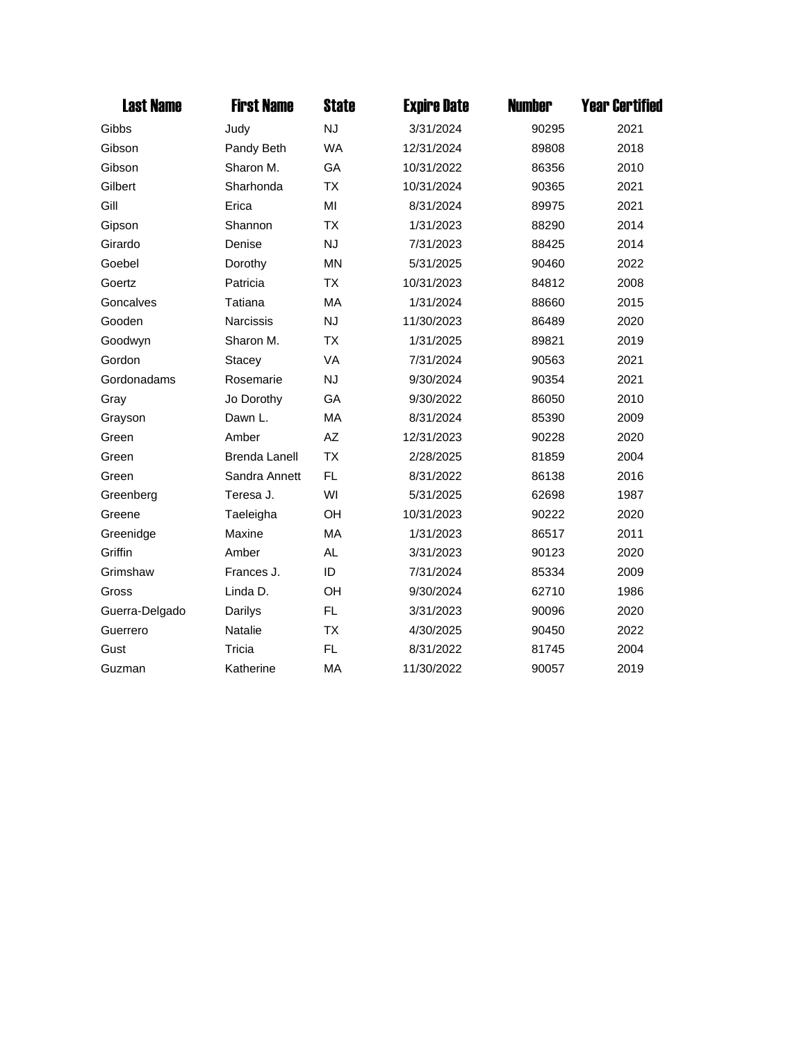| <b>Last Name</b> | <b>First Name</b>    | <b>State</b> | <b>Expire Date</b> | <b>Number</b> | <b>Year Certified</b> |
|------------------|----------------------|--------------|--------------------|---------------|-----------------------|
| Gibbs            | Judy                 | <b>NJ</b>    | 3/31/2024          | 90295         | 2021                  |
| Gibson           | Pandy Beth           | <b>WA</b>    | 12/31/2024         | 89808         | 2018                  |
| Gibson           | Sharon M.            | GA           | 10/31/2022         | 86356         | 2010                  |
| Gilbert          | Sharhonda            | <b>TX</b>    | 10/31/2024         | 90365         | 2021                  |
| Gill             | Erica                | MI           | 8/31/2024          | 89975         | 2021                  |
| Gipson           | Shannon              | <b>TX</b>    | 1/31/2023          | 88290         | 2014                  |
| Girardo          | Denise               | <b>NJ</b>    | 7/31/2023          | 88425         | 2014                  |
| Goebel           | Dorothy              | <b>MN</b>    | 5/31/2025          | 90460         | 2022                  |
| Goertz           | Patricia             | <b>TX</b>    | 10/31/2023         | 84812         | 2008                  |
| Goncalves        | Tatiana              | <b>MA</b>    | 1/31/2024          | 88660         | 2015                  |
| Gooden           | Narcissis            | <b>NJ</b>    | 11/30/2023         | 86489         | 2020                  |
| Goodwyn          | Sharon M.            | <b>TX</b>    | 1/31/2025          | 89821         | 2019                  |
| Gordon           | <b>Stacey</b>        | <b>VA</b>    | 7/31/2024          | 90563         | 2021                  |
| Gordonadams      | Rosemarie            | <b>NJ</b>    | 9/30/2024          | 90354         | 2021                  |
| Gray             | Jo Dorothy           | GA           | 9/30/2022          | 86050         | 2010                  |
| Grayson          | Dawn L.              | MA           | 8/31/2024          | 85390         | 2009                  |
| Green            | Amber                | AZ           | 12/31/2023         | 90228         | 2020                  |
| Green            | <b>Brenda Lanell</b> | <b>TX</b>    | 2/28/2025          | 81859         | 2004                  |
| Green            | Sandra Annett        | FL.          | 8/31/2022          | 86138         | 2016                  |
| Greenberg        | Teresa J.            | WI           | 5/31/2025          | 62698         | 1987                  |
| Greene           | Taeleigha            | <b>OH</b>    | 10/31/2023         | 90222         | 2020                  |
| Greenidge        | Maxine               | MA           | 1/31/2023          | 86517         | 2011                  |
| Griffin          | Amber                | <b>AL</b>    | 3/31/2023          | 90123         | 2020                  |
| Grimshaw         | Frances J.           | ID           | 7/31/2024          | 85334         | 2009                  |
| Gross            | Linda D.             | OH           | 9/30/2024          | 62710         | 1986                  |
| Guerra-Delgado   | Darilys              | FL.          | 3/31/2023          | 90096         | 2020                  |
| Guerrero         | <b>Natalie</b>       | <b>TX</b>    | 4/30/2025          | 90450         | 2022                  |
| Gust             | Tricia               | FL.          | 8/31/2022          | 81745         | 2004                  |
| Guzman           | Katherine            | MA           | 11/30/2022         | 90057         | 2019                  |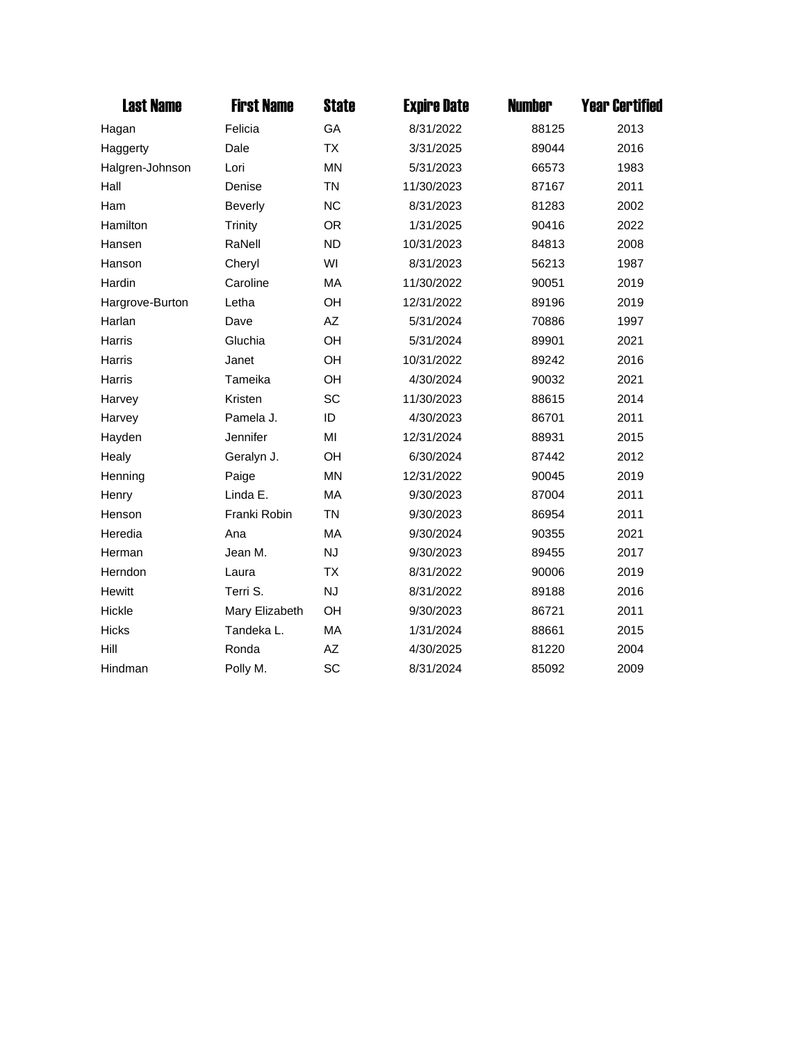| <b>Last Name</b> | <b>First Name</b> | <b>State</b> | <b>Expire Date</b> | <b>Number</b> | <b>Year Certified</b> |
|------------------|-------------------|--------------|--------------------|---------------|-----------------------|
| Hagan            | Felicia           | GA           | 8/31/2022          | 88125         | 2013                  |
| Haggerty         | Dale              | <b>TX</b>    | 3/31/2025          | 89044         | 2016                  |
| Halgren-Johnson  | Lori              | <b>MN</b>    | 5/31/2023          | 66573         | 1983                  |
| Hall             | Denise            | <b>TN</b>    | 11/30/2023         | 87167         | 2011                  |
| Ham              | <b>Beverly</b>    | <b>NC</b>    | 8/31/2023          | 81283         | 2002                  |
| Hamilton         | <b>Trinity</b>    | <b>OR</b>    | 1/31/2025          | 90416         | 2022                  |
| Hansen           | RaNell            | <b>ND</b>    | 10/31/2023         | 84813         | 2008                  |
| Hanson           | Cheryl            | WI           | 8/31/2023          | 56213         | 1987                  |
| Hardin           | Caroline          | MA           | 11/30/2022         | 90051         | 2019                  |
| Hargrove-Burton  | Letha             | OH           | 12/31/2022         | 89196         | 2019                  |
| Harlan           | Dave              | AZ           | 5/31/2024          | 70886         | 1997                  |
| Harris           | Gluchia           | OH           | 5/31/2024          | 89901         | 2021                  |
| <b>Harris</b>    | Janet             | <b>OH</b>    | 10/31/2022         | 89242         | 2016                  |
| Harris           | Tameika           | OH           | 4/30/2024          | 90032         | 2021                  |
| Harvey           | Kristen           | SC           | 11/30/2023         | 88615         | 2014                  |
| Harvey           | Pamela J.         | ID           | 4/30/2023          | 86701         | 2011                  |
| Hayden           | Jennifer          | MI           | 12/31/2024         | 88931         | 2015                  |
| Healy            | Geralyn J.        | <b>OH</b>    | 6/30/2024          | 87442         | 2012                  |
| Henning          | Paige             | <b>MN</b>    | 12/31/2022         | 90045         | 2019                  |
| Henry            | Linda E.          | MA           | 9/30/2023          | 87004         | 2011                  |
| Henson           | Franki Robin      | <b>TN</b>    | 9/30/2023          | 86954         | 2011                  |
| Heredia          | Ana               | MA           | 9/30/2024          | 90355         | 2021                  |
| Herman           | Jean M.           | <b>NJ</b>    | 9/30/2023          | 89455         | 2017                  |
| Herndon          | Laura             | <b>TX</b>    | 8/31/2022          | 90006         | 2019                  |
| <b>Hewitt</b>    | Terri S.          | <b>NJ</b>    | 8/31/2022          | 89188         | 2016                  |
| Hickle           | Mary Elizabeth    | OH           | 9/30/2023          | 86721         | 2011                  |
| <b>Hicks</b>     | Tandeka L.        | MA           | 1/31/2024          | 88661         | 2015                  |
| Hill             | Ronda             | AZ           | 4/30/2025          | 81220         | 2004                  |
| Hindman          | Polly M.          | SC           | 8/31/2024          | 85092         | 2009                  |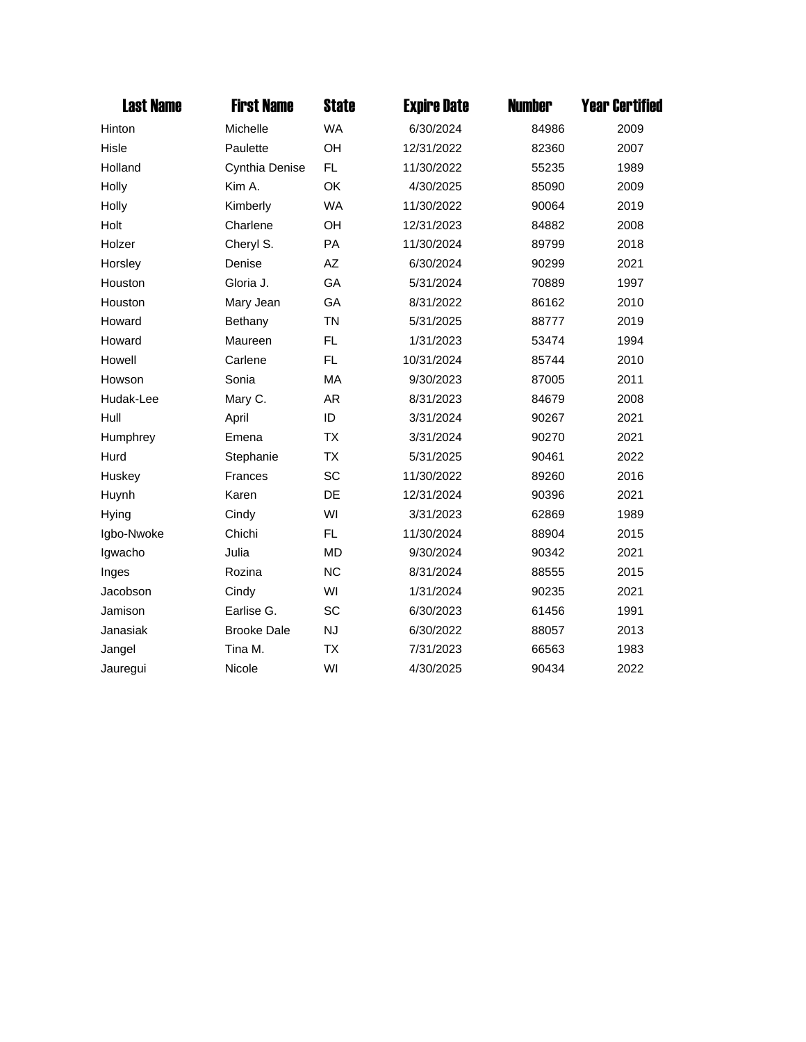| <b>Last Name</b> | <b>First Name</b>  | <b>State</b> | <b>Expire Date</b> | <b>Number</b> | <b>Year Certified</b> |
|------------------|--------------------|--------------|--------------------|---------------|-----------------------|
| Hinton           | Michelle           | <b>WA</b>    | 6/30/2024          | 84986         | 2009                  |
| Hisle            | Paulette           | OH           | 12/31/2022         | 82360         | 2007                  |
| Holland          | Cynthia Denise     | FL           | 11/30/2022         | 55235         | 1989                  |
| Holly            | Kim A.             | OK           | 4/30/2025          | 85090         | 2009                  |
| Holly            | Kimberly           | <b>WA</b>    | 11/30/2022         | 90064         | 2019                  |
| Holt             | Charlene           | OH           | 12/31/2023         | 84882         | 2008                  |
| Holzer           | Cheryl S.          | PA           | 11/30/2024         | 89799         | 2018                  |
| Horsley          | Denise             | AZ           | 6/30/2024          | 90299         | 2021                  |
| Houston          | Gloria J.          | GA           | 5/31/2024          | 70889         | 1997                  |
| Houston          | Mary Jean          | GA           | 8/31/2022          | 86162         | 2010                  |
| Howard           | Bethany            | <b>TN</b>    | 5/31/2025          | 88777         | 2019                  |
| Howard           | Maureen            | <b>FL</b>    | 1/31/2023          | 53474         | 1994                  |
| Howell           | Carlene            | FL.          | 10/31/2024         | 85744         | 2010                  |
| Howson           | Sonia              | MA           | 9/30/2023          | 87005         | 2011                  |
| Hudak-Lee        | Mary C.            | AR           | 8/31/2023          | 84679         | 2008                  |
| Hull             | April              | ID           | 3/31/2024          | 90267         | 2021                  |
| Humphrey         | Emena              | <b>TX</b>    | 3/31/2024          | 90270         | 2021                  |
| Hurd             | Stephanie          | <b>TX</b>    | 5/31/2025          | 90461         | 2022                  |
| Huskey           | <b>Frances</b>     | SC           | 11/30/2022         | 89260         | 2016                  |
| Huynh            | Karen              | DE           | 12/31/2024         | 90396         | 2021                  |
| <b>Hying</b>     | Cindy              | WI           | 3/31/2023          | 62869         | 1989                  |
| Igbo-Nwoke       | Chichi             | FL.          | 11/30/2024         | 88904         | 2015                  |
| Igwacho          | Julia              | <b>MD</b>    | 9/30/2024          | 90342         | 2021                  |
| Inges            | Rozina             | <b>NC</b>    | 8/31/2024          | 88555         | 2015                  |
| Jacobson         | Cindy              | WI           | 1/31/2024          | 90235         | 2021                  |
| Jamison          | Earlise G.         | SC           | 6/30/2023          | 61456         | 1991                  |
| Janasiak         | <b>Brooke Dale</b> | <b>NJ</b>    | 6/30/2022          | 88057         | 2013                  |
| Jangel           | Tina M.            | <b>TX</b>    | 7/31/2023          | 66563         | 1983                  |
| Jauregui         | Nicole             | WI           | 4/30/2025          | 90434         | 2022                  |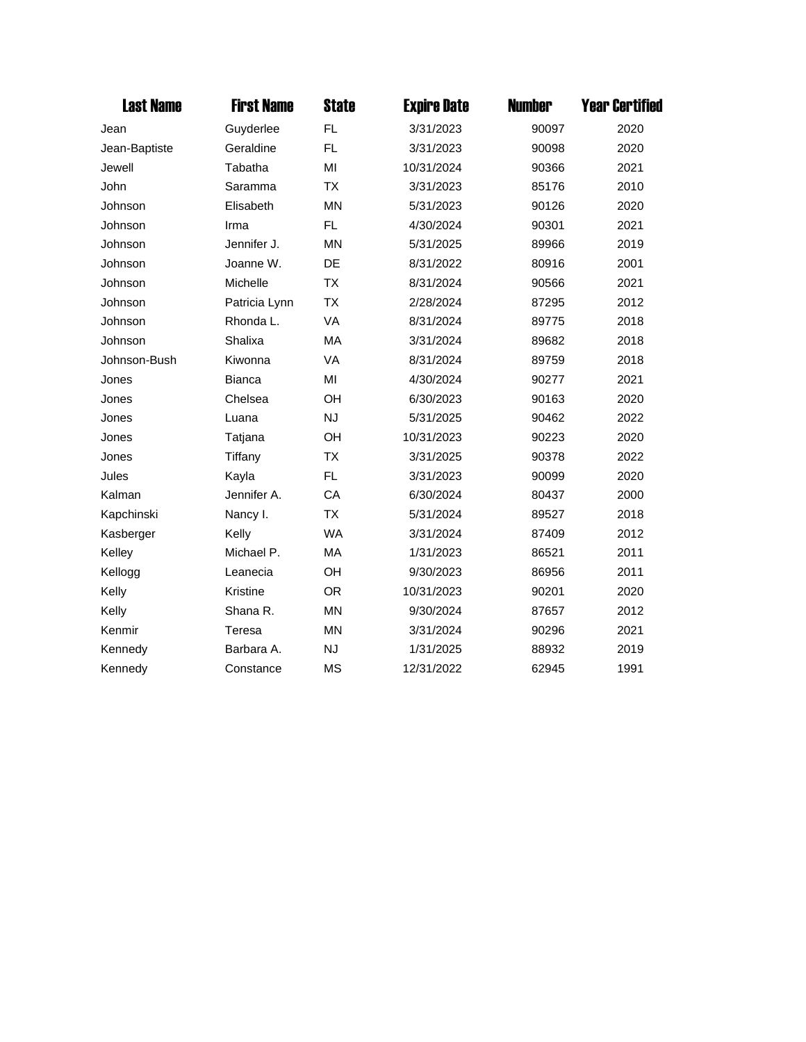| <b>Last Name</b> | <b>First Name</b> | <b>State</b> | <b>Expire Date</b> | <b>Number</b> | <b>Year Certified</b> |
|------------------|-------------------|--------------|--------------------|---------------|-----------------------|
| Jean             | Guyderlee         | FL.          | 3/31/2023          | 90097         | 2020                  |
| Jean-Baptiste    | Geraldine         | FL.          | 3/31/2023          | 90098         | 2020                  |
| Jewell           | Tabatha           | MI           | 10/31/2024         | 90366         | 2021                  |
| John             | Saramma           | <b>TX</b>    | 3/31/2023          | 85176         | 2010                  |
| Johnson          | Elisabeth         | <b>MN</b>    | 5/31/2023          | 90126         | 2020                  |
| Johnson          | Irma              | FL.          | 4/30/2024          | 90301         | 2021                  |
| Johnson          | Jennifer J.       | <b>MN</b>    | 5/31/2025          | 89966         | 2019                  |
| Johnson          | Joanne W.         | DE           | 8/31/2022          | 80916         | 2001                  |
| Johnson          | Michelle          | <b>TX</b>    | 8/31/2024          | 90566         | 2021                  |
| Johnson          | Patricia Lynn     | <b>TX</b>    | 2/28/2024          | 87295         | 2012                  |
| Johnson          | Rhonda L.         | <b>VA</b>    | 8/31/2024          | 89775         | 2018                  |
| Johnson          | Shalixa           | MA           | 3/31/2024          | 89682         | 2018                  |
| Johnson-Bush     | Kiwonna           | <b>VA</b>    | 8/31/2024          | 89759         | 2018                  |
| Jones            | <b>Bianca</b>     | MI           | 4/30/2024          | 90277         | 2021                  |
| Jones            | Chelsea           | OH           | 6/30/2023          | 90163         | 2020                  |
| Jones            | Luana             | <b>NJ</b>    | 5/31/2025          | 90462         | 2022                  |
| Jones            | Tatjana           | OH           | 10/31/2023         | 90223         | 2020                  |
| Jones            | Tiffany           | <b>TX</b>    | 3/31/2025          | 90378         | 2022                  |
| Jules            | Kayla             | FL.          | 3/31/2023          | 90099         | 2020                  |
| Kalman           | Jennifer A.       | CA           | 6/30/2024          | 80437         | 2000                  |
| Kapchinski       | Nancy I.          | <b>TX</b>    | 5/31/2024          | 89527         | 2018                  |
| Kasberger        | Kelly             | <b>WA</b>    | 3/31/2024          | 87409         | 2012                  |
| Kelley           | Michael P.        | MA           | 1/31/2023          | 86521         | 2011                  |
| Kellogg          | Leanecia          | OH           | 9/30/2023          | 86956         | 2011                  |
| Kelly            | Kristine          | <b>OR</b>    | 10/31/2023         | 90201         | 2020                  |
| Kelly            | Shana R.          | <b>MN</b>    | 9/30/2024          | 87657         | 2012                  |
| Kenmir           | Teresa            | <b>MN</b>    | 3/31/2024          | 90296         | 2021                  |
| Kennedy          | Barbara A.        | <b>NJ</b>    | 1/31/2025          | 88932         | 2019                  |
| Kennedy          | Constance         | <b>MS</b>    | 12/31/2022         | 62945         | 1991                  |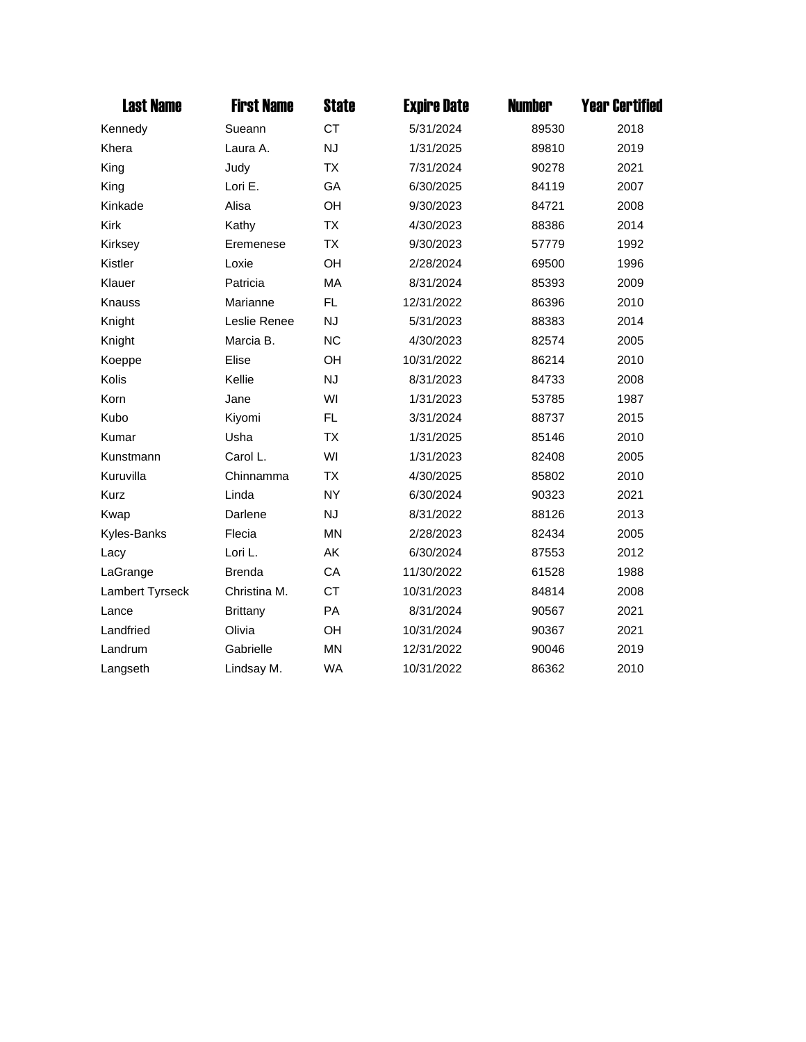| <b>Last Name</b> | <b>First Name</b> | <b>State</b> | <b>Expire Date</b> | <b>Number</b> | <b>Year Certified</b> |
|------------------|-------------------|--------------|--------------------|---------------|-----------------------|
| Kennedy          | Sueann            | <b>CT</b>    | 5/31/2024          | 89530         | 2018                  |
| Khera            | Laura A.          | <b>NJ</b>    | 1/31/2025          | 89810         | 2019                  |
| King             | Judy              | <b>TX</b>    | 7/31/2024          | 90278         | 2021                  |
| King             | Lori E.           | GA           | 6/30/2025          | 84119         | 2007                  |
| Kinkade          | Alisa             | OH           | 9/30/2023          | 84721         | 2008                  |
| <b>Kirk</b>      | Kathy             | <b>TX</b>    | 4/30/2023          | 88386         | 2014                  |
| Kirksey          | Eremenese         | <b>TX</b>    | 9/30/2023          | 57779         | 1992                  |
| Kistler          | Loxie             | OH           | 2/28/2024          | 69500         | 1996                  |
| Klauer           | Patricia          | MA           | 8/31/2024          | 85393         | 2009                  |
| Knauss           | Marianne          | FL           | 12/31/2022         | 86396         | 2010                  |
| Knight           | Leslie Renee      | <b>NJ</b>    | 5/31/2023          | 88383         | 2014                  |
| Knight           | Marcia B.         | <b>NC</b>    | 4/30/2023          | 82574         | 2005                  |
| Koeppe           | Elise             | OH           | 10/31/2022         | 86214         | 2010                  |
| Kolis            | Kellie            | <b>NJ</b>    | 8/31/2023          | 84733         | 2008                  |
| Korn             | Jane              | WI           | 1/31/2023          | 53785         | 1987                  |
| Kubo             | Kiyomi            | FL           | 3/31/2024          | 88737         | 2015                  |
| Kumar            | Usha              | <b>TX</b>    | 1/31/2025          | 85146         | 2010                  |
| Kunstmann        | Carol L.          | WI           | 1/31/2023          | 82408         | 2005                  |
| Kuruvilla        | Chinnamma         | <b>TX</b>    | 4/30/2025          | 85802         | 2010                  |
| Kurz             | Linda             | <b>NY</b>    | 6/30/2024          | 90323         | 2021                  |
| Kwap             | Darlene           | <b>NJ</b>    | 8/31/2022          | 88126         | 2013                  |
| Kyles-Banks      | Flecia            | <b>MN</b>    | 2/28/2023          | 82434         | 2005                  |
| Lacy             | Lori L.           | AK           | 6/30/2024          | 87553         | 2012                  |
| LaGrange         | <b>Brenda</b>     | CA           | 11/30/2022         | 61528         | 1988                  |
| Lambert Tyrseck  | Christina M.      | <b>CT</b>    | 10/31/2023         | 84814         | 2008                  |
| Lance            | Brittany          | <b>PA</b>    | 8/31/2024          | 90567         | 2021                  |
| Landfried        | Olivia            | OH           | 10/31/2024         | 90367         | 2021                  |
| Landrum          | Gabrielle         | <b>MN</b>    | 12/31/2022         | 90046         | 2019                  |
| Langseth         | Lindsay M.        | <b>WA</b>    | 10/31/2022         | 86362         | 2010                  |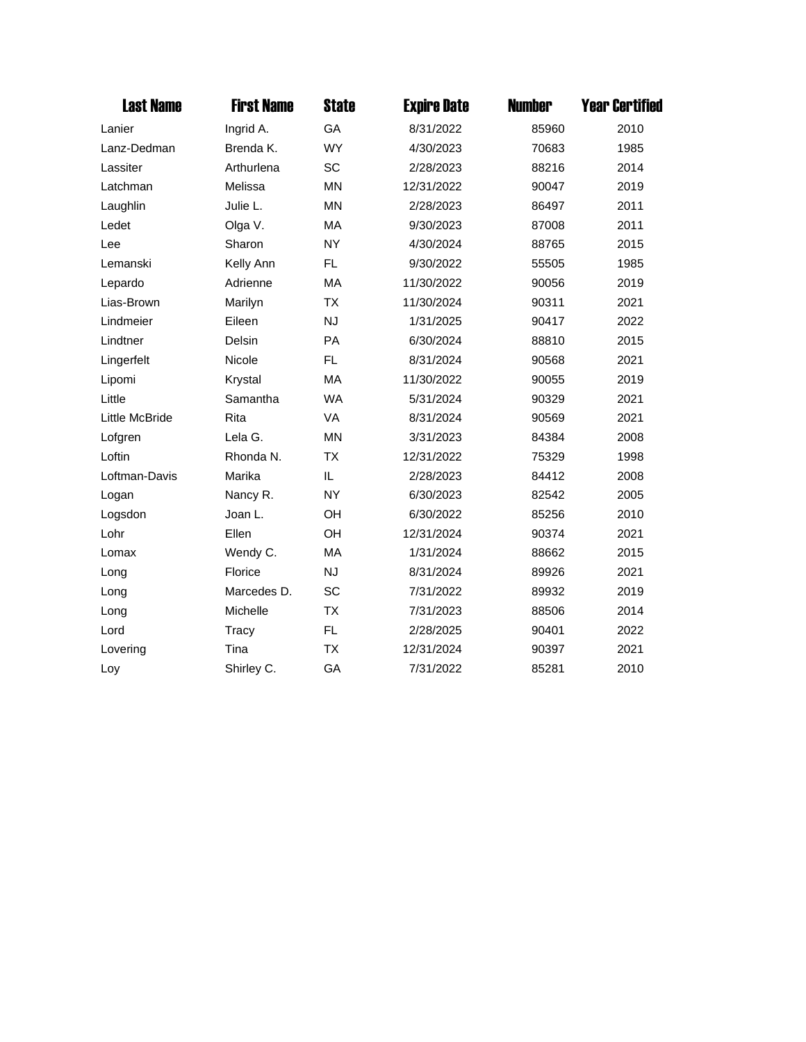| <b>Last Name</b> | <b>First Name</b> | <b>State</b> | <b>Expire Date</b> | <b>Number</b> | <b>Year Certified</b> |
|------------------|-------------------|--------------|--------------------|---------------|-----------------------|
| Lanier           | Ingrid A.         | GA           | 8/31/2022          | 85960         | 2010                  |
| Lanz-Dedman      | Brenda K.         | <b>WY</b>    | 4/30/2023          | 70683         | 1985                  |
| Lassiter         | Arthurlena        | SC           | 2/28/2023          | 88216         | 2014                  |
| Latchman         | Melissa           | <b>MN</b>    | 12/31/2022         | 90047         | 2019                  |
| Laughlin         | Julie L.          | <b>MN</b>    | 2/28/2023          | 86497         | 2011                  |
| Ledet            | Olga V.           | MA           | 9/30/2023          | 87008         | 2011                  |
| Lee              | Sharon            | <b>NY</b>    | 4/30/2024          | 88765         | 2015                  |
| Lemanski         | Kelly Ann         | FL.          | 9/30/2022          | 55505         | 1985                  |
| Lepardo          | Adrienne          | MA           | 11/30/2022         | 90056         | 2019                  |
| Lias-Brown       | Marilyn           | <b>TX</b>    | 11/30/2024         | 90311         | 2021                  |
| Lindmeier        | Eileen            | <b>NJ</b>    | 1/31/2025          | 90417         | 2022                  |
| Lindtner         | Delsin            | PA           | 6/30/2024          | 88810         | 2015                  |
| Lingerfelt       | Nicole            | FL.          | 8/31/2024          | 90568         | 2021                  |
| Lipomi           | Krystal           | MA           | 11/30/2022         | 90055         | 2019                  |
| Little           | Samantha          | <b>WA</b>    | 5/31/2024          | 90329         | 2021                  |
| Little McBride   | Rita              | VA           | 8/31/2024          | 90569         | 2021                  |
| Lofgren          | Lela G.           | <b>MN</b>    | 3/31/2023          | 84384         | 2008                  |
| Loftin           | Rhonda N.         | <b>TX</b>    | 12/31/2022         | 75329         | 1998                  |
| Loftman-Davis    | Marika            | IL           | 2/28/2023          | 84412         | 2008                  |
| Logan            | Nancy R.          | <b>NY</b>    | 6/30/2023          | 82542         | 2005                  |
| Logsdon          | Joan L.           | OH           | 6/30/2022          | 85256         | 2010                  |
| Lohr             | Ellen             | OH           | 12/31/2024         | 90374         | 2021                  |
| Lomax            | Wendy C.          | MA           | 1/31/2024          | 88662         | 2015                  |
| Long             | Florice           | <b>NJ</b>    | 8/31/2024          | 89926         | 2021                  |
| Long             | Marcedes D.       | <b>SC</b>    | 7/31/2022          | 89932         | 2019                  |
| Long             | Michelle          | <b>TX</b>    | 7/31/2023          | 88506         | 2014                  |
| Lord             | Tracy             | FL.          | 2/28/2025          | 90401         | 2022                  |
| Lovering         | Tina              | <b>TX</b>    | 12/31/2024         | 90397         | 2021                  |
| Loy              | Shirley C.        | GA           | 7/31/2022          | 85281         | 2010                  |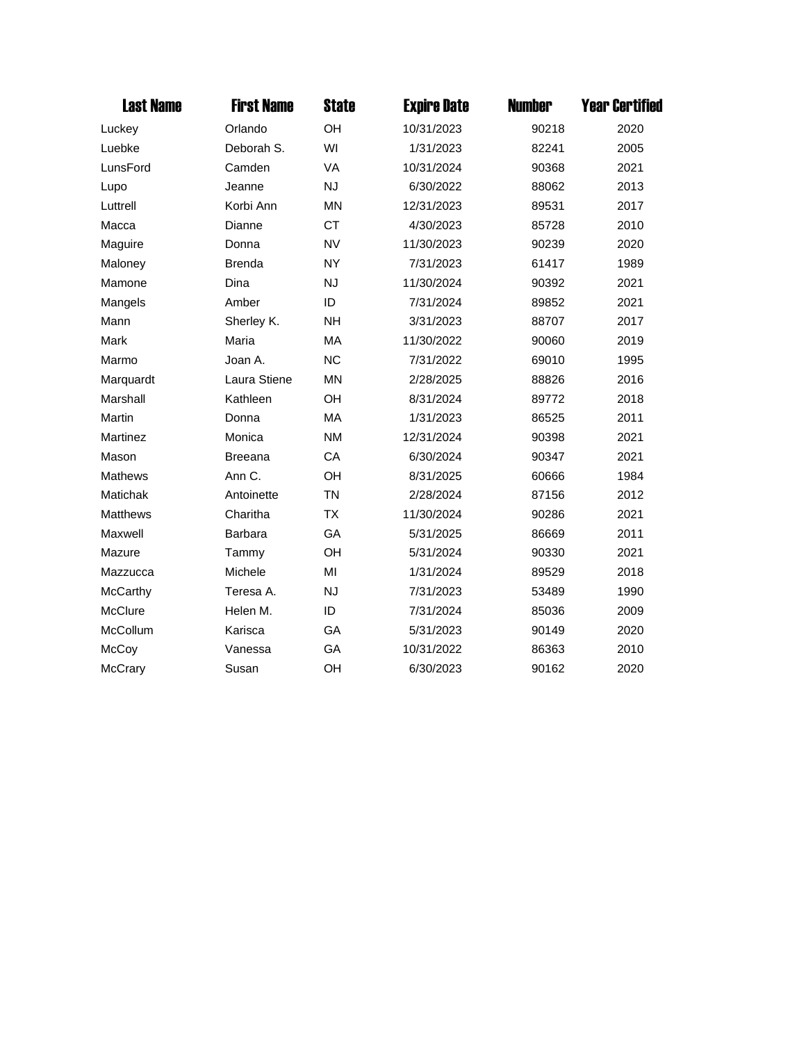| <b>Last Name</b> | <b>First Name</b> | <b>State</b> | <b>Expire Date</b> | <b>Number</b> | <b>Year Certified</b> |
|------------------|-------------------|--------------|--------------------|---------------|-----------------------|
| Luckey           | Orlando           | OH           | 10/31/2023         | 90218         | 2020                  |
| Luebke           | Deborah S.        | WI           | 1/31/2023          | 82241         | 2005                  |
| LunsFord         | Camden            | VA           | 10/31/2024         | 90368         | 2021                  |
| Lupo             | Jeanne            | <b>NJ</b>    | 6/30/2022          | 88062         | 2013                  |
| Luttrell         | Korbi Ann         | <b>MN</b>    | 12/31/2023         | 89531         | 2017                  |
| Macca            | Dianne            | <b>CT</b>    | 4/30/2023          | 85728         | 2010                  |
| Maguire          | Donna             | <b>NV</b>    | 11/30/2023         | 90239         | 2020                  |
| Maloney          | <b>Brenda</b>     | <b>NY</b>    | 7/31/2023          | 61417         | 1989                  |
| Mamone           | Dina              | <b>NJ</b>    | 11/30/2024         | 90392         | 2021                  |
| Mangels          | Amber             | ID           | 7/31/2024          | 89852         | 2021                  |
| Mann             | Sherley K.        | <b>NH</b>    | 3/31/2023          | 88707         | 2017                  |
| Mark             | Maria             | MA           | 11/30/2022         | 90060         | 2019                  |
| Marmo            | Joan A.           | <b>NC</b>    | 7/31/2022          | 69010         | 1995                  |
| Marquardt        | Laura Stiene      | <b>MN</b>    | 2/28/2025          | 88826         | 2016                  |
| Marshall         | Kathleen          | OH           | 8/31/2024          | 89772         | 2018                  |
| Martin           | Donna             | <b>MA</b>    | 1/31/2023          | 86525         | 2011                  |
| Martinez         | Monica            | <b>NM</b>    | 12/31/2024         | 90398         | 2021                  |
| Mason            | <b>Breeana</b>    | CA           | 6/30/2024          | 90347         | 2021                  |
| Mathews          | Ann C.            | OH           | 8/31/2025          | 60666         | 1984                  |
| Matichak         | Antoinette        | <b>TN</b>    | 2/28/2024          | 87156         | 2012                  |
| <b>Matthews</b>  | Charitha          | <b>TX</b>    | 11/30/2024         | 90286         | 2021                  |
| Maxwell          | Barbara           | GA           | 5/31/2025          | 86669         | 2011                  |
| Mazure           | Tammy             | OH           | 5/31/2024          | 90330         | 2021                  |
| Mazzucca         | Michele           | MI           | 1/31/2024          | 89529         | 2018                  |
| McCarthy         | Teresa A.         | <b>NJ</b>    | 7/31/2023          | 53489         | 1990                  |
| McClure          | Helen M.          | ID           | 7/31/2024          | 85036         | 2009                  |
| McCollum         | Karisca           | GA           | 5/31/2023          | 90149         | 2020                  |
| McCoy            | Vanessa           | GA           | 10/31/2022         | 86363         | 2010                  |
| McCrary          | Susan             | OH           | 6/30/2023          | 90162         | 2020                  |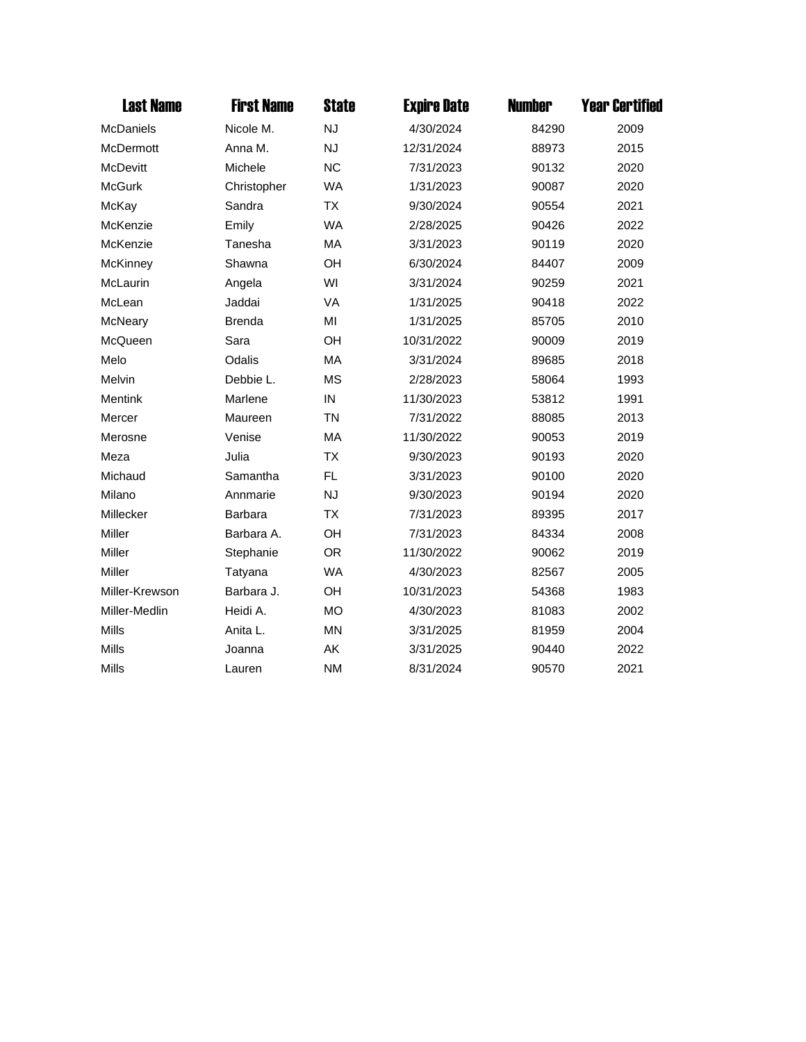| <b>Last Name</b> | <b>First Name</b> | <b>State</b> | <b>Expire Date</b> | <b>Number</b> | <b>Year Certified</b> |
|------------------|-------------------|--------------|--------------------|---------------|-----------------------|
| McDaniels        | Nicole M.         | <b>NJ</b>    | 4/30/2024          | 84290         | 2009                  |
| <b>McDermott</b> | Anna M.           | <b>NJ</b>    | 12/31/2024         | 88973         | 2015                  |
| McDevitt         | Michele           | <b>NC</b>    | 7/31/2023          | 90132         | 2020                  |
| <b>McGurk</b>    | Christopher       | <b>WA</b>    | 1/31/2023          | 90087         | 2020                  |
| McKay            | Sandra            | <b>TX</b>    | 9/30/2024          | 90554         | 2021                  |
| McKenzie         | Emily             | <b>WA</b>    | 2/28/2025          | 90426         | 2022                  |
| McKenzie         | Tanesha           | MA           | 3/31/2023          | 90119         | 2020                  |
| McKinney         | Shawna            | OH           | 6/30/2024          | 84407         | 2009                  |
| McLaurin         | Angela            | WI           | 3/31/2024          | 90259         | 2021                  |
| McLean           | Jaddai            | <b>VA</b>    | 1/31/2025          | 90418         | 2022                  |
| McNeary          | <b>Brenda</b>     | MI           | 1/31/2025          | 85705         | 2010                  |
| McQueen          | Sara              | OH           | 10/31/2022         | 90009         | 2019                  |
| Melo             | Odalis            | MA           | 3/31/2024          | 89685         | 2018                  |
| Melvin           | Debbie L.         | <b>MS</b>    | 2/28/2023          | 58064         | 1993                  |
| <b>Mentink</b>   | Marlene           | IN           | 11/30/2023         | 53812         | 1991                  |
| Mercer           | Maureen           | <b>TN</b>    | 7/31/2022          | 88085         | 2013                  |
| Merosne          | Venise            | MA           | 11/30/2022         | 90053         | 2019                  |
| Meza             | Julia             | <b>TX</b>    | 9/30/2023          | 90193         | 2020                  |
| Michaud          | Samantha          | <b>FL</b>    | 3/31/2023          | 90100         | 2020                  |
| Milano           | Annmarie          | <b>NJ</b>    | 9/30/2023          | 90194         | 2020                  |
| Millecker        | <b>Barbara</b>    | <b>TX</b>    | 7/31/2023          | 89395         | 2017                  |
| Miller           | Barbara A.        | OH           | 7/31/2023          | 84334         | 2008                  |
| Miller           | Stephanie         | <b>OR</b>    | 11/30/2022         | 90062         | 2019                  |
| Miller           | Tatyana           | <b>WA</b>    | 4/30/2023          | 82567         | 2005                  |
| Miller-Krewson   | Barbara J.        | OH           | 10/31/2023         | 54368         | 1983                  |
| Miller-Medlin    | Heidi A.          | <b>MO</b>    | 4/30/2023          | 81083         | 2002                  |
| <b>Mills</b>     | Anita L.          | <b>MN</b>    | 3/31/2025          | 81959         | 2004                  |
| <b>Mills</b>     | Joanna            | AK           | 3/31/2025          | 90440         | 2022                  |
| <b>Mills</b>     | Lauren            | <b>NM</b>    | 8/31/2024          | 90570         | 2021                  |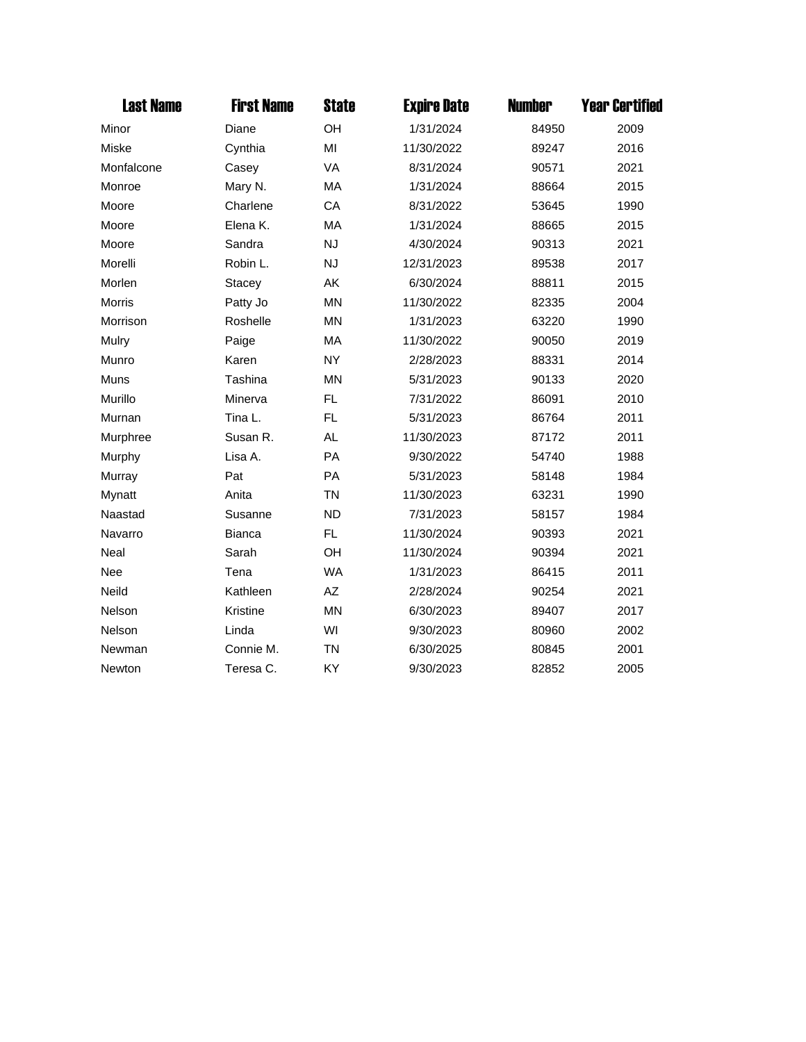| <b>Last Name</b> | <b>First Name</b> | <b>State</b> | <b>Expire Date</b> | <b>Number</b> | <b>Year Certified</b> |
|------------------|-------------------|--------------|--------------------|---------------|-----------------------|
| Minor            | Diane             | OH           | 1/31/2024          | 84950         | 2009                  |
| Miske            | Cynthia           | MI           | 11/30/2022         | 89247         | 2016                  |
| Monfalcone       | Casey             | VA           | 8/31/2024          | 90571         | 2021                  |
| Monroe           | Mary N.           | МA           | 1/31/2024          | 88664         | 2015                  |
| Moore            | Charlene          | CA           | 8/31/2022          | 53645         | 1990                  |
| Moore            | Elena K.          | MA           | 1/31/2024          | 88665         | 2015                  |
| Moore            | Sandra            | <b>NJ</b>    | 4/30/2024          | 90313         | 2021                  |
| Morelli          | Robin L.          | <b>NJ</b>    | 12/31/2023         | 89538         | 2017                  |
| Morlen           | <b>Stacey</b>     | AK           | 6/30/2024          | 88811         | 2015                  |
| <b>Morris</b>    | Patty Jo          | <b>MN</b>    | 11/30/2022         | 82335         | 2004                  |
| Morrison         | Roshelle          | <b>MN</b>    | 1/31/2023          | 63220         | 1990                  |
| Mulry            | Paige             | MA           | 11/30/2022         | 90050         | 2019                  |
| Munro            | Karen             | <b>NY</b>    | 2/28/2023          | 88331         | 2014                  |
| Muns             | Tashina           | <b>MN</b>    | 5/31/2023          | 90133         | 2020                  |
| Murillo          | Minerva           | FL.          | 7/31/2022          | 86091         | 2010                  |
| Murnan           | Tina L.           | FL           | 5/31/2023          | 86764         | 2011                  |
| Murphree         | Susan R.          | <b>AL</b>    | 11/30/2023         | 87172         | 2011                  |
| Murphy           | Lisa A.           | PA           | 9/30/2022          | 54740         | 1988                  |
| Murray           | Pat               | PA           | 5/31/2023          | 58148         | 1984                  |
| Mynatt           | Anita             | <b>TN</b>    | 11/30/2023         | 63231         | 1990                  |
| Naastad          | Susanne           | <b>ND</b>    | 7/31/2023          | 58157         | 1984                  |
| Navarro          | <b>Bianca</b>     | FL.          | 11/30/2024         | 90393         | 2021                  |
| Neal             | Sarah             | OH           | 11/30/2024         | 90394         | 2021                  |
| <b>Nee</b>       | Tena              | <b>WA</b>    | 1/31/2023          | 86415         | 2011                  |
| Neild            | Kathleen          | AZ           | 2/28/2024          | 90254         | 2021                  |
| Nelson           | Kristine          | <b>MN</b>    | 6/30/2023          | 89407         | 2017                  |
| Nelson           | Linda             | WI           | 9/30/2023          | 80960         | 2002                  |
| Newman           | Connie M.         | <b>TN</b>    | 6/30/2025          | 80845         | 2001                  |
| Newton           | Teresa C.         | KY           | 9/30/2023          | 82852         | 2005                  |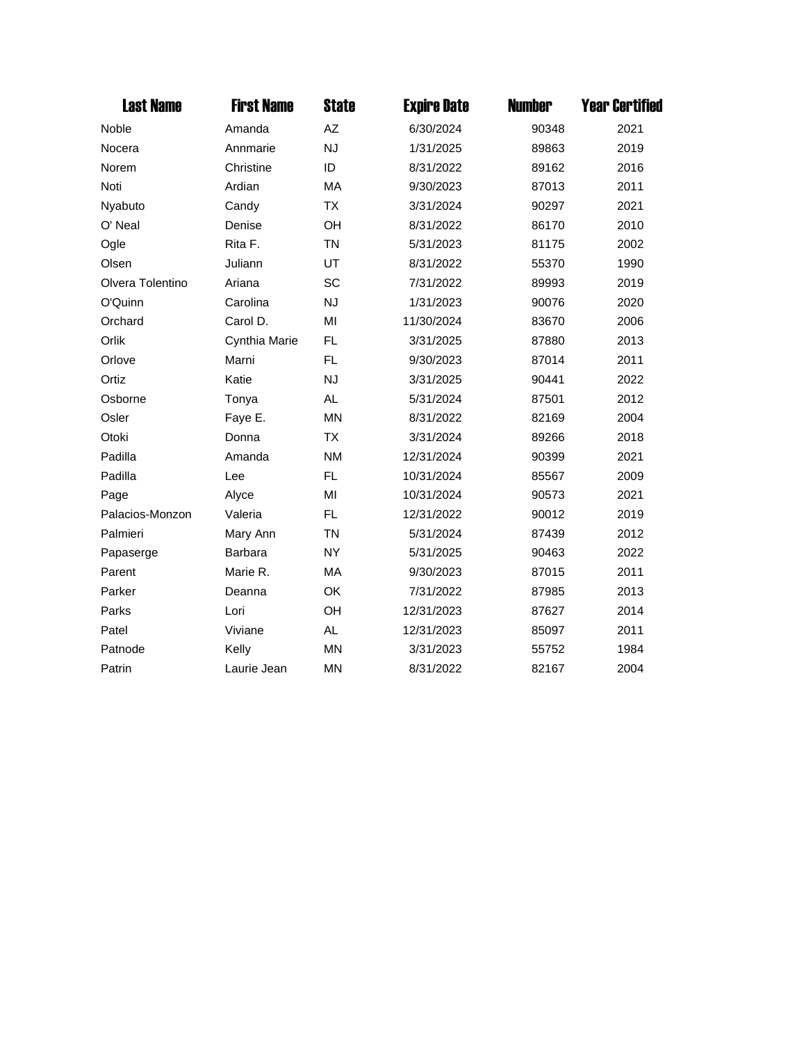| <b>Last Name</b> | <b>First Name</b> | <b>State</b> | <b>Expire Date</b> | <b>Number</b> | <b>Year Certified</b> |
|------------------|-------------------|--------------|--------------------|---------------|-----------------------|
| Noble            | Amanda            | AZ           | 6/30/2024          | 90348         | 2021                  |
| Nocera           | Annmarie          | <b>NJ</b>    | 1/31/2025          | 89863         | 2019                  |
| Norem            | Christine         | ID           | 8/31/2022          | 89162         | 2016                  |
| Noti             | Ardian            | MA           | 9/30/2023          | 87013         | 2011                  |
| Nyabuto          | Candy             | <b>TX</b>    | 3/31/2024          | 90297         | 2021                  |
| O' Neal          | Denise            | OH           | 8/31/2022          | 86170         | 2010                  |
| Ogle             | Rita F.           | <b>TN</b>    | 5/31/2023          | 81175         | 2002                  |
| Olsen            | Juliann           | UT           | 8/31/2022          | 55370         | 1990                  |
| Olvera Tolentino | Ariana            | SC           | 7/31/2022          | 89993         | 2019                  |
| O'Quinn          | Carolina          | <b>NJ</b>    | 1/31/2023          | 90076         | 2020                  |
| Orchard          | Carol D.          | MI           | 11/30/2024         | 83670         | 2006                  |
| Orlik            | Cynthia Marie     | <b>FL</b>    | 3/31/2025          | 87880         | 2013                  |
| Orlove           | Marni             | FL.          | 9/30/2023          | 87014         | 2011                  |
| Ortiz            | Katie             | <b>NJ</b>    | 3/31/2025          | 90441         | 2022                  |
| Osborne          | Tonya             | AL           | 5/31/2024          | 87501         | 2012                  |
| Osler            | Faye E.           | <b>MN</b>    | 8/31/2022          | 82169         | 2004                  |
| Otoki            | Donna             | <b>TX</b>    | 3/31/2024          | 89266         | 2018                  |
| Padilla          | Amanda            | <b>NM</b>    | 12/31/2024         | 90399         | 2021                  |
| Padilla          | Lee               | FL.          | 10/31/2024         | 85567         | 2009                  |
| Page             | Alyce             | MI           | 10/31/2024         | 90573         | 2021                  |
| Palacios-Monzon  | Valeria           | FL.          | 12/31/2022         | 90012         | 2019                  |
| Palmieri         | Mary Ann          | <b>TN</b>    | 5/31/2024          | 87439         | 2012                  |
| Papaserge        | Barbara           | <b>NY</b>    | 5/31/2025          | 90463         | 2022                  |
| Parent           | Marie R.          | MA           | 9/30/2023          | 87015         | 2011                  |
| Parker           | Deanna            | OK           | 7/31/2022          | 87985         | 2013                  |
| Parks            | Lori              | OH           | 12/31/2023         | 87627         | 2014                  |
| Patel            | Viviane           | <b>AL</b>    | 12/31/2023         | 85097         | 2011                  |
| Patnode          | Kelly             | <b>MN</b>    | 3/31/2023          | 55752         | 1984                  |
| Patrin           | Laurie Jean       | <b>MN</b>    | 8/31/2022          | 82167         | 2004                  |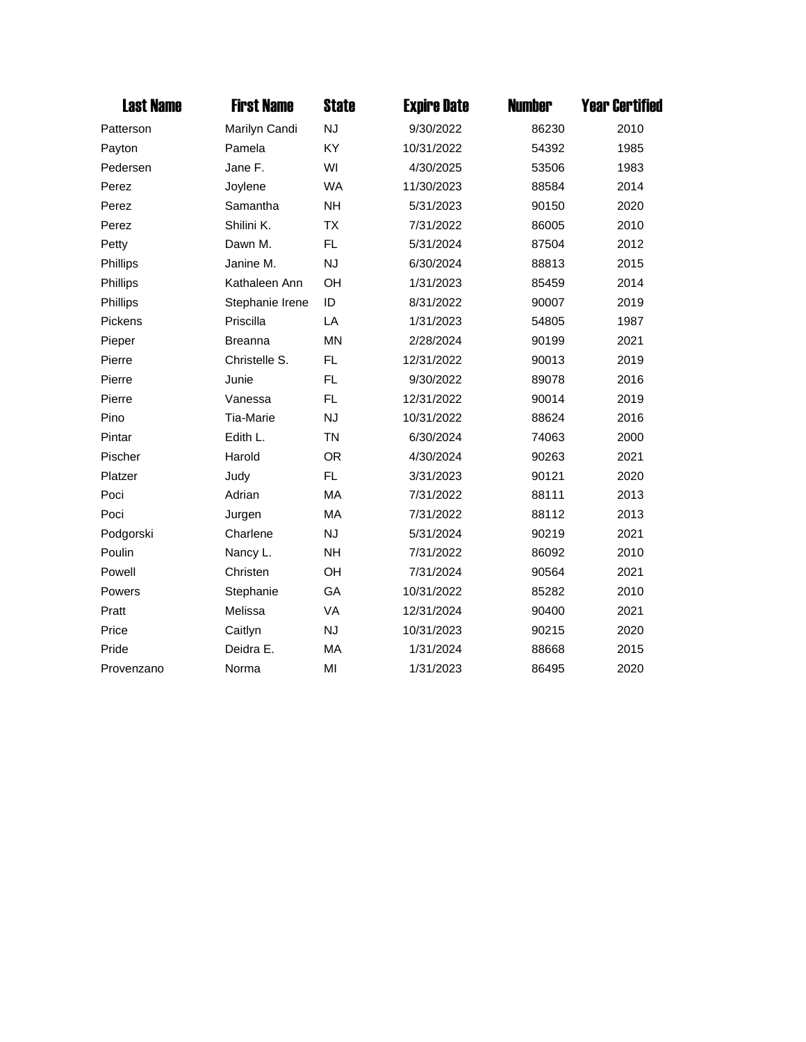| <b>Last Name</b> | <b>First Name</b> | <b>State</b> | <b>Expire Date</b> | <b>Number</b> | <b>Year Certified</b> |
|------------------|-------------------|--------------|--------------------|---------------|-----------------------|
| Patterson        | Marilyn Candi     | <b>NJ</b>    | 9/30/2022          | 86230         | 2010                  |
| Payton           | Pamela            | <b>KY</b>    | 10/31/2022         | 54392         | 1985                  |
| Pedersen         | Jane F.           | WI           | 4/30/2025          | 53506         | 1983                  |
| Perez            | Joylene           | <b>WA</b>    | 11/30/2023         | 88584         | 2014                  |
| Perez            | Samantha          | <b>NH</b>    | 5/31/2023          | 90150         | 2020                  |
| Perez            | Shilini K.        | <b>TX</b>    | 7/31/2022          | 86005         | 2010                  |
| Petty            | Dawn M.           | <b>FL</b>    | 5/31/2024          | 87504         | 2012                  |
| Phillips         | Janine M.         | <b>NJ</b>    | 6/30/2024          | 88813         | 2015                  |
| Phillips         | Kathaleen Ann     | OH           | 1/31/2023          | 85459         | 2014                  |
| Phillips         | Stephanie Irene   | ID           | 8/31/2022          | 90007         | 2019                  |
| Pickens          | Priscilla         | LA           | 1/31/2023          | 54805         | 1987                  |
| Pieper           | <b>Breanna</b>    | <b>MN</b>    | 2/28/2024          | 90199         | 2021                  |
| Pierre           | Christelle S.     | <b>FL</b>    | 12/31/2022         | 90013         | 2019                  |
| Pierre           | Junie             | <b>FL</b>    | 9/30/2022          | 89078         | 2016                  |
| Pierre           | Vanessa           | <b>FL</b>    | 12/31/2022         | 90014         | 2019                  |
| Pino             | Tia-Marie         | <b>NJ</b>    | 10/31/2022         | 88624         | 2016                  |
| Pintar           | Edith L.          | <b>TN</b>    | 6/30/2024          | 74063         | 2000                  |
| Pischer          | Harold            | <b>OR</b>    | 4/30/2024          | 90263         | 2021                  |
| Platzer          | Judy              | FL.          | 3/31/2023          | 90121         | 2020                  |
| Poci             | Adrian            | MA           | 7/31/2022          | 88111         | 2013                  |
| Poci             | Jurgen            | MA           | 7/31/2022          | 88112         | 2013                  |
| Podgorski        | Charlene          | <b>NJ</b>    | 5/31/2024          | 90219         | 2021                  |
| Poulin           | Nancy L.          | <b>NH</b>    | 7/31/2022          | 86092         | 2010                  |
| Powell           | Christen          | OH           | 7/31/2024          | 90564         | 2021                  |
| Powers           | Stephanie         | GA           | 10/31/2022         | 85282         | 2010                  |
| Pratt            | Melissa           | <b>VA</b>    | 12/31/2024         | 90400         | 2021                  |
| Price            | Caitlyn           | <b>NJ</b>    | 10/31/2023         | 90215         | 2020                  |
| Pride            | Deidra E.         | <b>MA</b>    | 1/31/2024          | 88668         | 2015                  |
| Provenzano       | Norma             | MI           | 1/31/2023          | 86495         | 2020                  |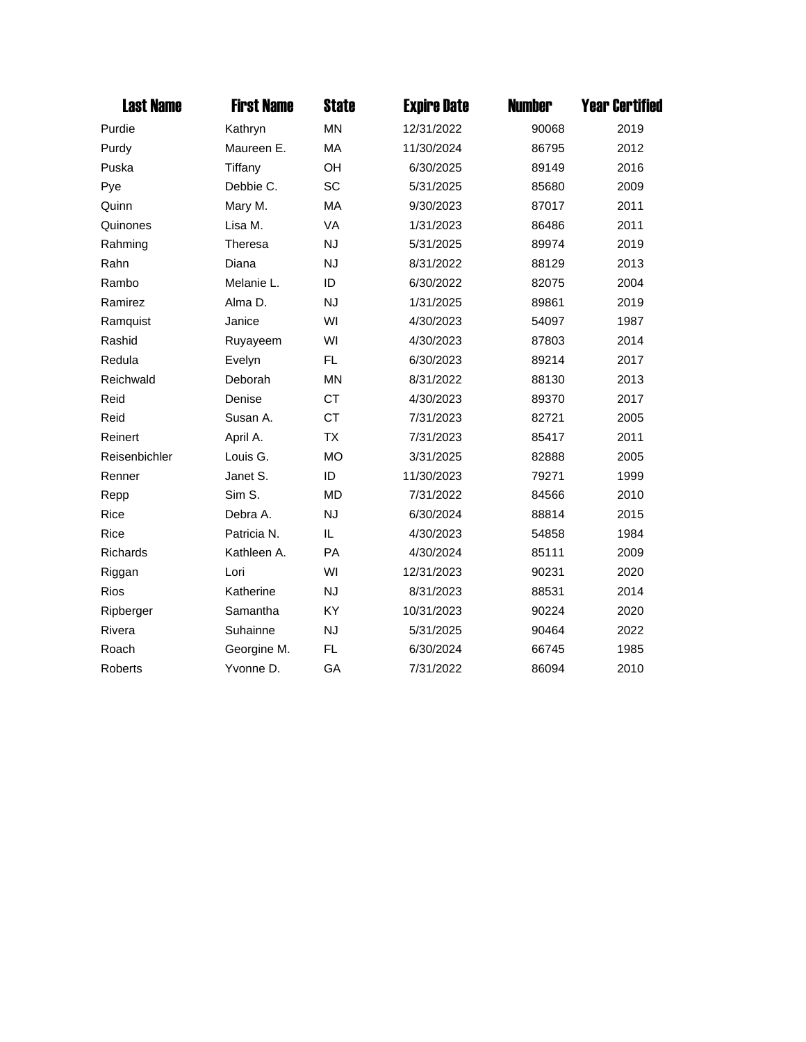| <b>Last Name</b> | <b>First Name</b> | <b>State</b> | <b>Expire Date</b> | <b>Number</b> | <b>Year Certified</b> |
|------------------|-------------------|--------------|--------------------|---------------|-----------------------|
| Purdie           | Kathryn           | <b>MN</b>    | 12/31/2022         | 90068         | 2019                  |
| Purdy            | Maureen E.        | MA           | 11/30/2024         | 86795         | 2012                  |
| Puska            | Tiffany           | OH           | 6/30/2025          | 89149         | 2016                  |
| Pye              | Debbie C.         | SC           | 5/31/2025          | 85680         | 2009                  |
| Quinn            | Mary M.           | MA           | 9/30/2023          | 87017         | 2011                  |
| Quinones         | Lisa M.           | VA           | 1/31/2023          | 86486         | 2011                  |
| Rahming          | Theresa           | <b>NJ</b>    | 5/31/2025          | 89974         | 2019                  |
| Rahn             | Diana             | <b>NJ</b>    | 8/31/2022          | 88129         | 2013                  |
| Rambo            | Melanie L.        | ID           | 6/30/2022          | 82075         | 2004                  |
| Ramirez          | Alma D.           | <b>NJ</b>    | 1/31/2025          | 89861         | 2019                  |
| Ramquist         | Janice            | WI           | 4/30/2023          | 54097         | 1987                  |
| Rashid           | Ruyayeem          | WI           | 4/30/2023          | 87803         | 2014                  |
| Redula           | Evelyn            | FL           | 6/30/2023          | 89214         | 2017                  |
| Reichwald        | Deborah           | <b>MN</b>    | 8/31/2022          | 88130         | 2013                  |
| Reid             | Denise            | <b>CT</b>    | 4/30/2023          | 89370         | 2017                  |
| Reid             | Susan A.          | <b>CT</b>    | 7/31/2023          | 82721         | 2005                  |
| Reinert          | April A.          | <b>TX</b>    | 7/31/2023          | 85417         | 2011                  |
| Reisenbichler    | Louis G.          | <b>MO</b>    | 3/31/2025          | 82888         | 2005                  |
| Renner           | Janet S.          | ID           | 11/30/2023         | 79271         | 1999                  |
| Repp             | Sim S.            | <b>MD</b>    | 7/31/2022          | 84566         | 2010                  |
| <b>Rice</b>      | Debra A.          | <b>NJ</b>    | 6/30/2024          | 88814         | 2015                  |
| <b>Rice</b>      | Patricia N.       | IL           | 4/30/2023          | 54858         | 1984                  |
| Richards         | Kathleen A.       | PA           | 4/30/2024          | 85111         | 2009                  |
| Riggan           | Lori              | WI           | 12/31/2023         | 90231         | 2020                  |
| <b>Rios</b>      | Katherine         | <b>NJ</b>    | 8/31/2023          | 88531         | 2014                  |
| Ripberger        | Samantha          | KY           | 10/31/2023         | 90224         | 2020                  |
| Rivera           | Suhainne          | <b>NJ</b>    | 5/31/2025          | 90464         | 2022                  |
| Roach            | Georgine M.       | <b>FL</b>    | 6/30/2024          | 66745         | 1985                  |
| <b>Roberts</b>   | Yvonne D.         | GA           | 7/31/2022          | 86094         | 2010                  |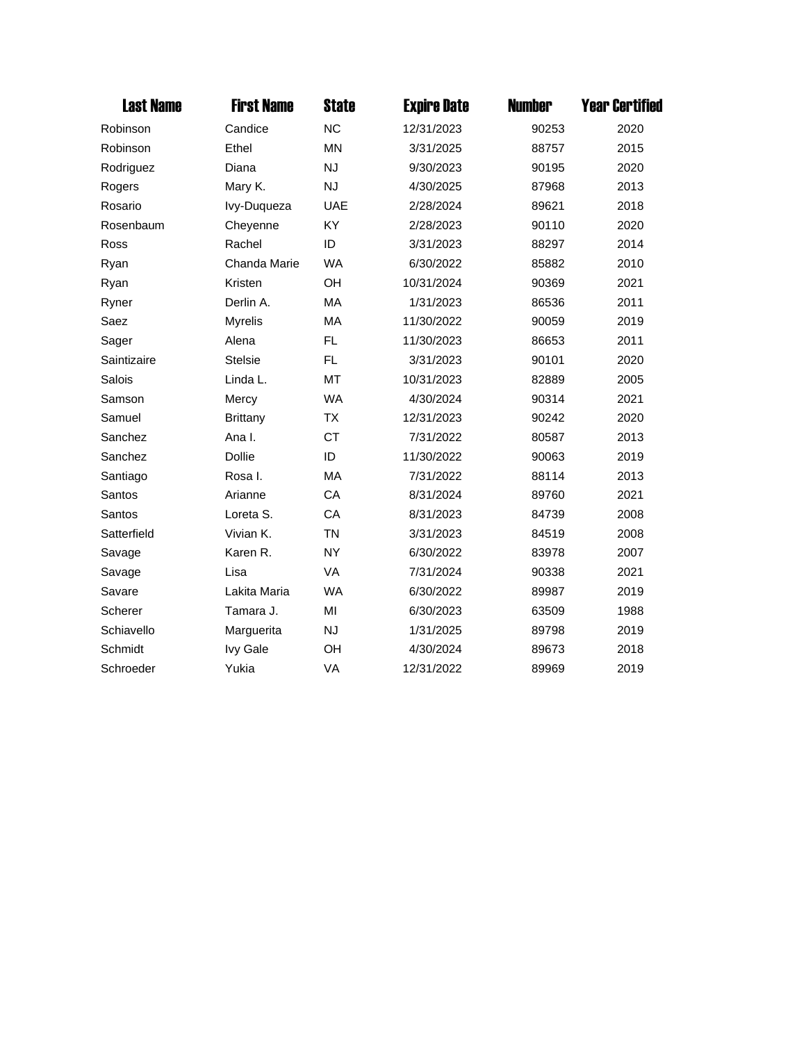| <b>Last Name</b> | <b>First Name</b> | <b>State</b> | <b>Expire Date</b> | <b>Number</b> | <b>Year Certified</b> |
|------------------|-------------------|--------------|--------------------|---------------|-----------------------|
| Robinson         | Candice           | <b>NC</b>    | 12/31/2023         | 90253         | 2020                  |
| Robinson         | Ethel             | <b>MN</b>    | 3/31/2025          | 88757         | 2015                  |
| Rodriguez        | Diana             | <b>NJ</b>    | 9/30/2023          | 90195         | 2020                  |
| Rogers           | Mary K.           | <b>NJ</b>    | 4/30/2025          | 87968         | 2013                  |
| Rosario          | Ivy-Duqueza       | <b>UAE</b>   | 2/28/2024          | 89621         | 2018                  |
| Rosenbaum        | Cheyenne          | KY           | 2/28/2023          | 90110         | 2020                  |
| Ross             | Rachel            | ID           | 3/31/2023          | 88297         | 2014                  |
| Ryan             | Chanda Marie      | <b>WA</b>    | 6/30/2022          | 85882         | 2010                  |
| Ryan             | Kristen           | OH           | 10/31/2024         | 90369         | 2021                  |
| Ryner            | Derlin A.         | MA           | 1/31/2023          | 86536         | 2011                  |
| Saez             | <b>Myrelis</b>    | MA           | 11/30/2022         | 90059         | 2019                  |
| Sager            | Alena             | <b>FL</b>    | 11/30/2023         | 86653         | 2011                  |
| Saintizaire      | <b>Stelsie</b>    | FL           | 3/31/2023          | 90101         | 2020                  |
| Salois           | Linda L.          | <b>MT</b>    | 10/31/2023         | 82889         | 2005                  |
| Samson           | Mercy             | <b>WA</b>    | 4/30/2024          | 90314         | 2021                  |
| Samuel           | <b>Brittany</b>   | <b>TX</b>    | 12/31/2023         | 90242         | 2020                  |
| Sanchez          | Ana I.            | <b>CT</b>    | 7/31/2022          | 80587         | 2013                  |
| Sanchez          | <b>Dollie</b>     | ID           | 11/30/2022         | 90063         | 2019                  |
| Santiago         | Rosa I.           | MA           | 7/31/2022          | 88114         | 2013                  |
| Santos           | Arianne           | CA           | 8/31/2024          | 89760         | 2021                  |
| Santos           | Loreta S.         | CA           | 8/31/2023          | 84739         | 2008                  |
| Satterfield      | Vivian K.         | <b>TN</b>    | 3/31/2023          | 84519         | 2008                  |
| Savage           | Karen R.          | <b>NY</b>    | 6/30/2022          | 83978         | 2007                  |
| Savage           | Lisa              | <b>VA</b>    | 7/31/2024          | 90338         | 2021                  |
| Savare           | Lakita Maria      | <b>WA</b>    | 6/30/2022          | 89987         | 2019                  |
| Scherer          | Tamara J.         | MI           | 6/30/2023          | 63509         | 1988                  |
| Schiavello       | Marguerita        | <b>NJ</b>    | 1/31/2025          | 89798         | 2019                  |
| Schmidt          | <b>Ivy Gale</b>   | OH           | 4/30/2024          | 89673         | 2018                  |
| Schroeder        | Yukia             | VA           | 12/31/2022         | 89969         | 2019                  |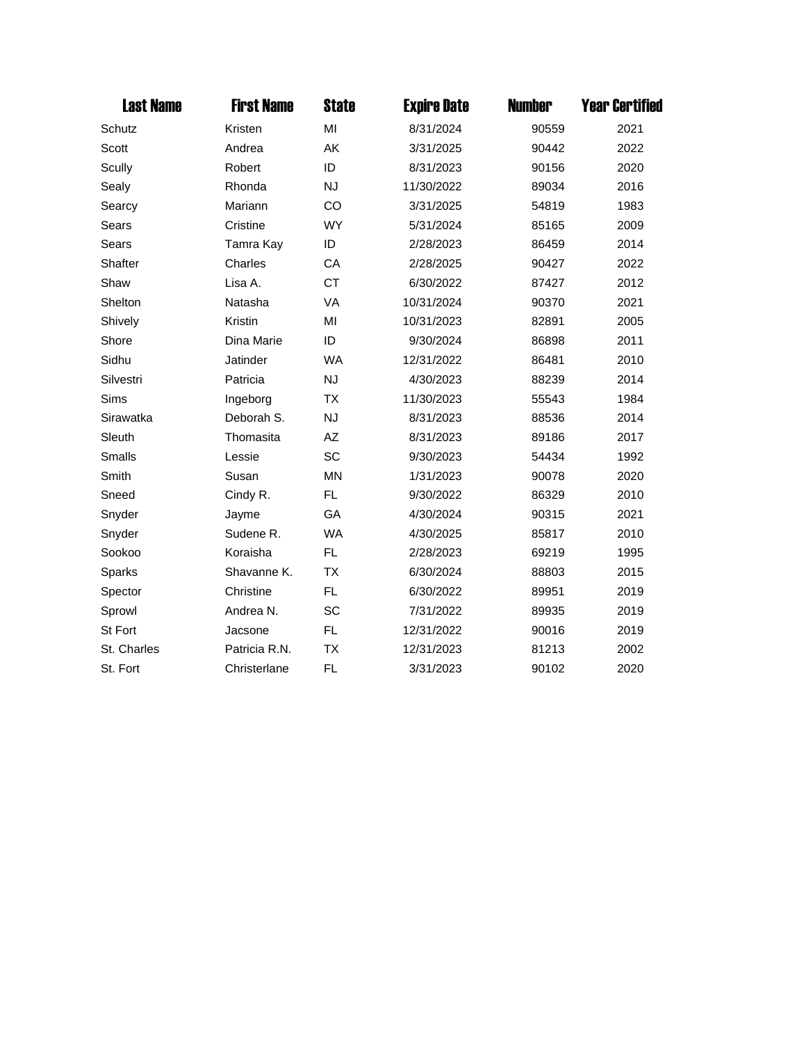| <b>Last Name</b> | <b>First Name</b> | <b>State</b> | <b>Expire Date</b> | <b>Number</b> | <b>Year Certified</b> |
|------------------|-------------------|--------------|--------------------|---------------|-----------------------|
| Schutz           | Kristen           | MI           | 8/31/2024          | 90559         | 2021                  |
| Scott            | Andrea            | AK           | 3/31/2025          | 90442         | 2022                  |
| Scully           | Robert            | ID           | 8/31/2023          | 90156         | 2020                  |
| Sealy            | Rhonda            | <b>NJ</b>    | 11/30/2022         | 89034         | 2016                  |
| Searcy           | Mariann           | CO           | 3/31/2025          | 54819         | 1983                  |
| Sears            | Cristine          | <b>WY</b>    | 5/31/2024          | 85165         | 2009                  |
| <b>Sears</b>     | Tamra Kay         | ID           | 2/28/2023          | 86459         | 2014                  |
| Shafter          | Charles           | CA           | 2/28/2025          | 90427         | 2022                  |
| Shaw             | Lisa A.           | <b>CT</b>    | 6/30/2022          | 87427         | 2012                  |
| Shelton          | Natasha           | VA           | 10/31/2024         | 90370         | 2021                  |
| Shively          | Kristin           | MI           | 10/31/2023         | 82891         | 2005                  |
| Shore            | Dina Marie        | ID           | 9/30/2024          | 86898         | 2011                  |
| Sidhu            | Jatinder          | <b>WA</b>    | 12/31/2022         | 86481         | 2010                  |
| Silvestri        | Patricia          | <b>NJ</b>    | 4/30/2023          | 88239         | 2014                  |
| <b>Sims</b>      | Ingeborg          | <b>TX</b>    | 11/30/2023         | 55543         | 1984                  |
| Sirawatka        | Deborah S.        | <b>NJ</b>    | 8/31/2023          | 88536         | 2014                  |
| Sleuth           | Thomasita         | AZ           | 8/31/2023          | 89186         | 2017                  |
| Smalls           | Lessie            | SC           | 9/30/2023          | 54434         | 1992                  |
| Smith            | Susan             | <b>MN</b>    | 1/31/2023          | 90078         | 2020                  |
| Sneed            | Cindy R.          | FL           | 9/30/2022          | 86329         | 2010                  |
| Snyder           | Jayme             | GA           | 4/30/2024          | 90315         | 2021                  |
| Snyder           | Sudene R.         | <b>WA</b>    | 4/30/2025          | 85817         | 2010                  |
| Sookoo           | Koraisha          | FL.          | 2/28/2023          | 69219         | 1995                  |
| Sparks           | Shavanne K.       | <b>TX</b>    | 6/30/2024          | 88803         | 2015                  |
| Spector          | Christine         | FL           | 6/30/2022          | 89951         | 2019                  |
| Sprowl           | Andrea N.         | SC           | 7/31/2022          | 89935         | 2019                  |
| St Fort          | Jacsone           | FL.          | 12/31/2022         | 90016         | 2019                  |
| St. Charles      | Patricia R.N.     | ТX           | 12/31/2023         | 81213         | 2002                  |
| St. Fort         | Christerlane      | FL.          | 3/31/2023          | 90102         | 2020                  |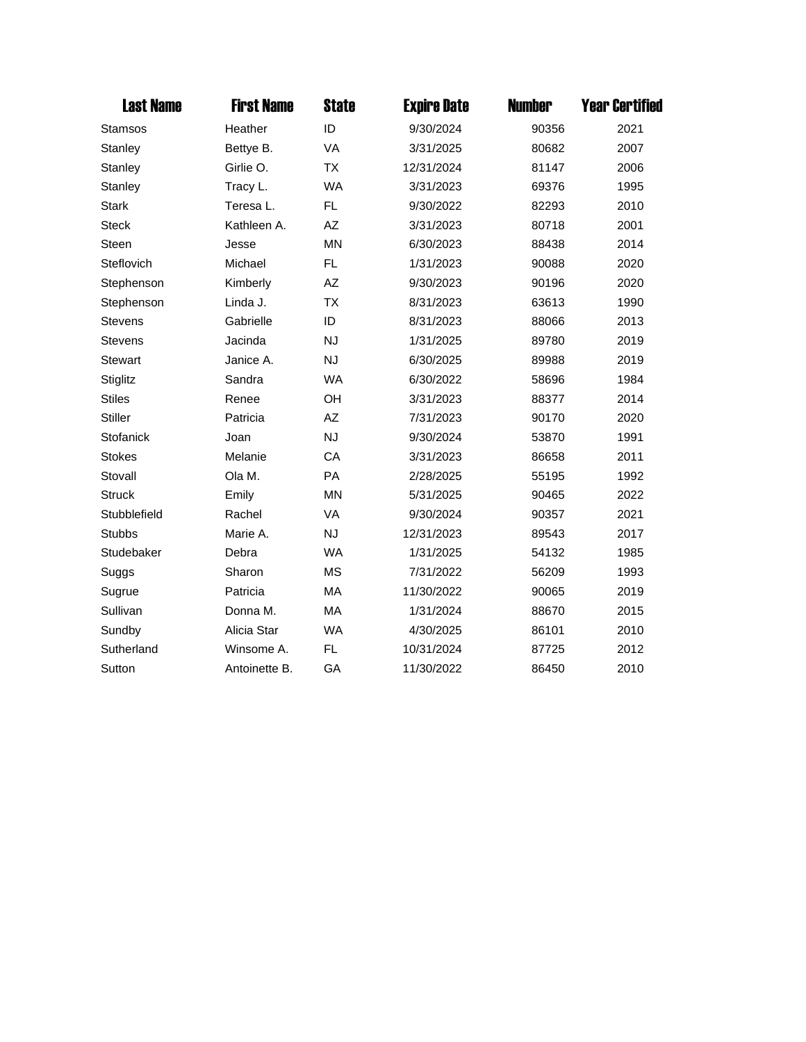| <b>Last Name</b> | <b>First Name</b> | <b>State</b> | <b>Expire Date</b> | <b>Number</b> | <b>Year Certified</b> |
|------------------|-------------------|--------------|--------------------|---------------|-----------------------|
| Stamsos          | Heather           | ID           | 9/30/2024          | 90356         | 2021                  |
| Stanley          | Bettye B.         | <b>VA</b>    | 3/31/2025          | 80682         | 2007                  |
| Stanley          | Girlie O.         | <b>TX</b>    | 12/31/2024         | 81147         | 2006                  |
| Stanley          | Tracy L.          | <b>WA</b>    | 3/31/2023          | 69376         | 1995                  |
| <b>Stark</b>     | Teresa L.         | FL.          | 9/30/2022          | 82293         | 2010                  |
| <b>Steck</b>     | Kathleen A.       | AZ           | 3/31/2023          | 80718         | 2001                  |
| <b>Steen</b>     | Jesse             | <b>MN</b>    | 6/30/2023          | 88438         | 2014                  |
| Steflovich       | Michael           | FL.          | 1/31/2023          | 90088         | 2020                  |
| Stephenson       | Kimberly          | AZ           | 9/30/2023          | 90196         | 2020                  |
| Stephenson       | Linda J.          | <b>TX</b>    | 8/31/2023          | 63613         | 1990                  |
| <b>Stevens</b>   | Gabrielle         | ID           | 8/31/2023          | 88066         | 2013                  |
| <b>Stevens</b>   | Jacinda           | <b>NJ</b>    | 1/31/2025          | 89780         | 2019                  |
| Stewart          | Janice A.         | <b>NJ</b>    | 6/30/2025          | 89988         | 2019                  |
| Stiglitz         | Sandra            | <b>WA</b>    | 6/30/2022          | 58696         | 1984                  |
| <b>Stiles</b>    | Renee             | OH           | 3/31/2023          | 88377         | 2014                  |
| <b>Stiller</b>   | Patricia          | AZ           | 7/31/2023          | 90170         | 2020                  |
| Stofanick        | Joan              | <b>NJ</b>    | 9/30/2024          | 53870         | 1991                  |
| <b>Stokes</b>    | Melanie           | CA           | 3/31/2023          | 86658         | 2011                  |
| Stovall          | Ola M.            | PA           | 2/28/2025          | 55195         | 1992                  |
| <b>Struck</b>    | Emily             | <b>MN</b>    | 5/31/2025          | 90465         | 2022                  |
| Stubblefield     | Rachel            | <b>VA</b>    | 9/30/2024          | 90357         | 2021                  |
| <b>Stubbs</b>    | Marie A.          | <b>NJ</b>    | 12/31/2023         | 89543         | 2017                  |
| Studebaker       | Debra             | <b>WA</b>    | 1/31/2025          | 54132         | 1985                  |
| Suggs            | Sharon            | <b>MS</b>    | 7/31/2022          | 56209         | 1993                  |
| Sugrue           | Patricia          | <b>MA</b>    | 11/30/2022         | 90065         | 2019                  |
| Sullivan         | Donna M.          | MA           | 1/31/2024          | 88670         | 2015                  |
| Sundby           | Alicia Star       | <b>WA</b>    | 4/30/2025          | 86101         | 2010                  |
| Sutherland       | Winsome A.        | <b>FL</b>    | 10/31/2024         | 87725         | 2012                  |
| Sutton           | Antoinette B.     | GA           | 11/30/2022         | 86450         | 2010                  |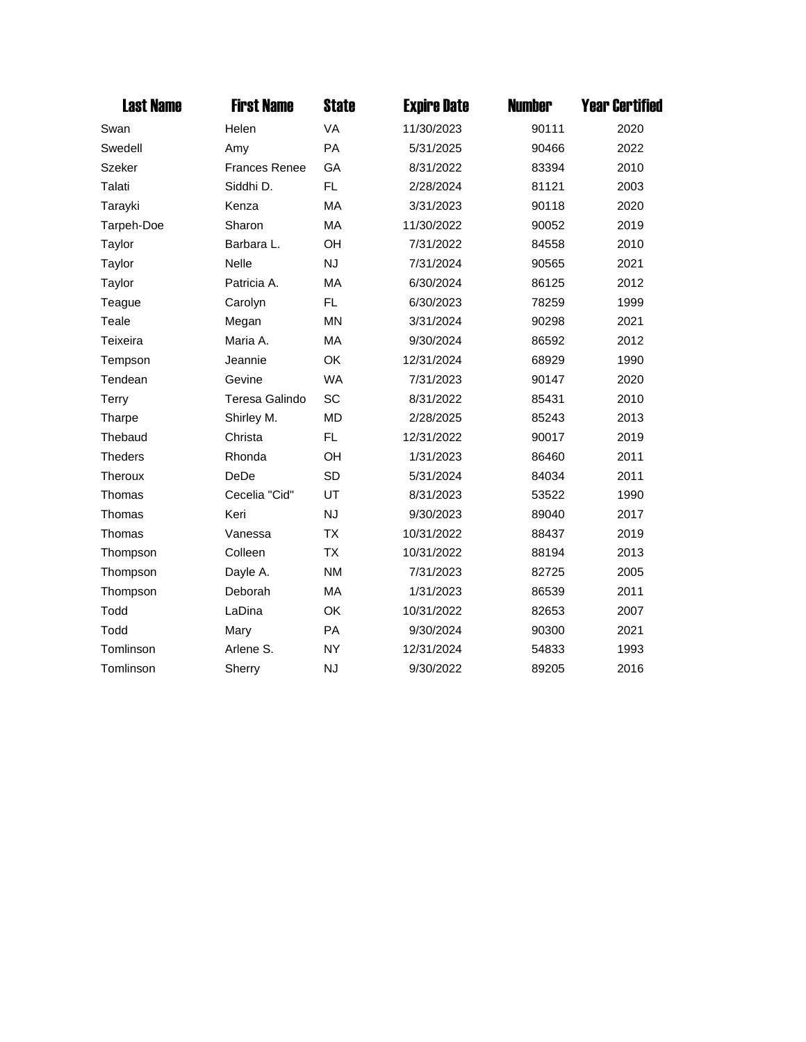| <b>Last Name</b> | <b>First Name</b>    | <b>State</b> | <b>Expire Date</b> | <b>Number</b> | <b>Year Certified</b> |
|------------------|----------------------|--------------|--------------------|---------------|-----------------------|
| Swan             | Helen                | <b>VA</b>    | 11/30/2023         | 90111         | 2020                  |
| Swedell          | Amy                  | <b>PA</b>    | 5/31/2025          | 90466         | 2022                  |
| <b>Szeker</b>    | <b>Frances Renee</b> | GA           | 8/31/2022          | 83394         | 2010                  |
| Talati           | Siddhi D.            | FL.          | 2/28/2024          | 81121         | 2003                  |
| Tarayki          | Kenza                | <b>MA</b>    | 3/31/2023          | 90118         | 2020                  |
| Tarpeh-Doe       | Sharon               | MA           | 11/30/2022         | 90052         | 2019                  |
| Taylor           | Barbara L.           | OH           | 7/31/2022          | 84558         | 2010                  |
| Taylor           | <b>Nelle</b>         | <b>NJ</b>    | 7/31/2024          | 90565         | 2021                  |
| Taylor           | Patricia A.          | MA           | 6/30/2024          | 86125         | 2012                  |
| Teague           | Carolyn              | <b>FL</b>    | 6/30/2023          | 78259         | 1999                  |
| Teale            | Megan                | <b>MN</b>    | 3/31/2024          | 90298         | 2021                  |
| Teixeira         | Maria A.             | MA           | 9/30/2024          | 86592         | 2012                  |
| Tempson          | Jeannie              | OK           | 12/31/2024         | 68929         | 1990                  |
| Tendean          | Gevine               | <b>WA</b>    | 7/31/2023          | 90147         | 2020                  |
| Terry            | Teresa Galindo       | SC           | 8/31/2022          | 85431         | 2010                  |
| Tharpe           | Shirley M.           | <b>MD</b>    | 2/28/2025          | 85243         | 2013                  |
| Thebaud          | Christa              | FL.          | 12/31/2022         | 90017         | 2019                  |
| <b>Theders</b>   | Rhonda               | OH           | 1/31/2023          | 86460         | 2011                  |
| Theroux          | DeDe                 | <b>SD</b>    | 5/31/2024          | 84034         | 2011                  |
| Thomas           | Cecelia "Cid"        | UT           | 8/31/2023          | 53522         | 1990                  |
| Thomas           | Keri                 | <b>NJ</b>    | 9/30/2023          | 89040         | 2017                  |
| Thomas           | Vanessa              | <b>TX</b>    | 10/31/2022         | 88437         | 2019                  |
| Thompson         | Colleen              | <b>TX</b>    | 10/31/2022         | 88194         | 2013                  |
| Thompson         | Dayle A.             | <b>NM</b>    | 7/31/2023          | 82725         | 2005                  |
| Thompson         | Deborah              | MA           | 1/31/2023          | 86539         | 2011                  |
| Todd             | LaDina               | OK           | 10/31/2022         | 82653         | 2007                  |
| Todd             | Mary                 | PA           | 9/30/2024          | 90300         | 2021                  |
| Tomlinson        | Arlene S.            | <b>NY</b>    | 12/31/2024         | 54833         | 1993                  |
| Tomlinson        | Sherry               | <b>NJ</b>    | 9/30/2022          | 89205         | 2016                  |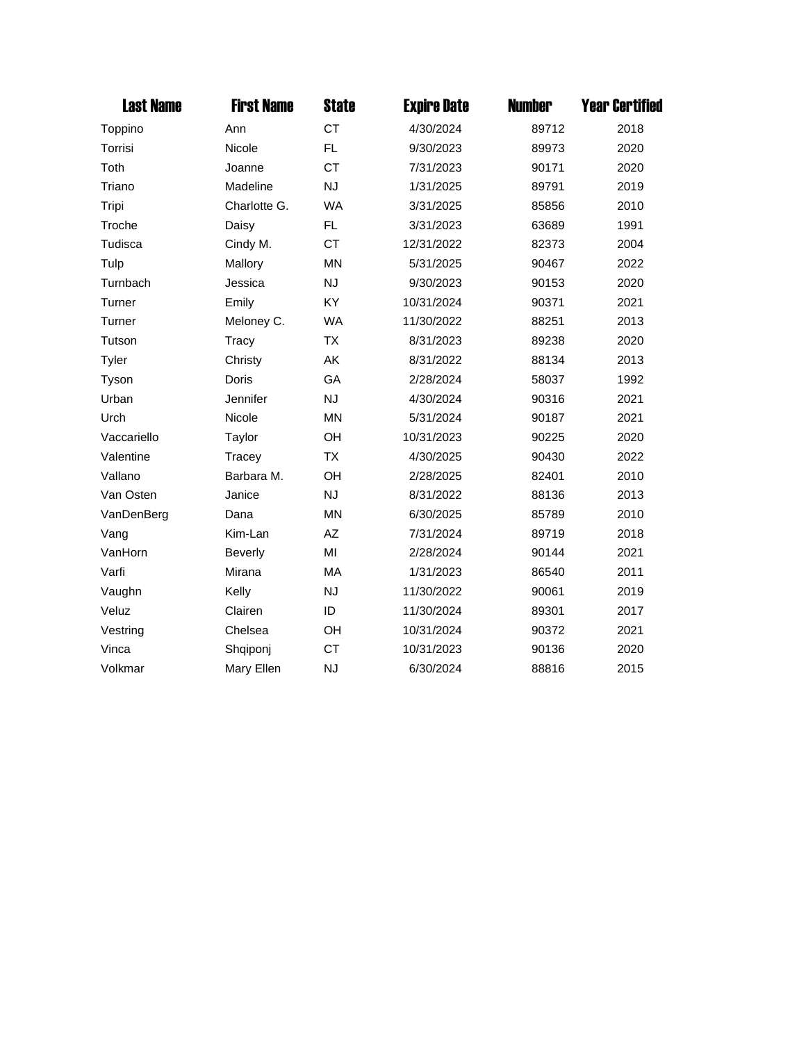| <b>Last Name</b> | <b>First Name</b> | <b>State</b> | <b>Expire Date</b> | <b>Number</b> | <b>Year Certified</b> |
|------------------|-------------------|--------------|--------------------|---------------|-----------------------|
| Toppino          | Ann               | <b>CT</b>    | 4/30/2024          | 89712         | 2018                  |
| Torrisi          | Nicole            | FL.          | 9/30/2023          | 89973         | 2020                  |
| Toth             | Joanne            | <b>CT</b>    | 7/31/2023          | 90171         | 2020                  |
| Triano           | Madeline          | <b>NJ</b>    | 1/31/2025          | 89791         | 2019                  |
| Tripi            | Charlotte G.      | <b>WA</b>    | 3/31/2025          | 85856         | 2010                  |
| Troche           | Daisy             | FL           | 3/31/2023          | 63689         | 1991                  |
| Tudisca          | Cindy M.          | <b>CT</b>    | 12/31/2022         | 82373         | 2004                  |
| Tulp             | Mallory           | <b>MN</b>    | 5/31/2025          | 90467         | 2022                  |
| Turnbach         | Jessica           | <b>NJ</b>    | 9/30/2023          | 90153         | 2020                  |
| Turner           | Emily             | KY           | 10/31/2024         | 90371         | 2021                  |
| Turner           | Meloney C.        | <b>WA</b>    | 11/30/2022         | 88251         | 2013                  |
| Tutson           | Tracy             | <b>TX</b>    | 8/31/2023          | 89238         | 2020                  |
| Tyler            | Christy           | AΚ           | 8/31/2022          | 88134         | 2013                  |
| Tyson            | Doris             | GA           | 2/28/2024          | 58037         | 1992                  |
| Urban            | Jennifer          | <b>NJ</b>    | 4/30/2024          | 90316         | 2021                  |
| Urch             | Nicole            | <b>MN</b>    | 5/31/2024          | 90187         | 2021                  |
| Vaccariello      | Taylor            | OH           | 10/31/2023         | 90225         | 2020                  |
| Valentine        | Tracey            | <b>TX</b>    | 4/30/2025          | 90430         | 2022                  |
| Vallano          | Barbara M.        | OH           | 2/28/2025          | 82401         | 2010                  |
| Van Osten        | Janice            | <b>NJ</b>    | 8/31/2022          | 88136         | 2013                  |
| VanDenBerg       | Dana              | <b>MN</b>    | 6/30/2025          | 85789         | 2010                  |
| Vang             | Kim-Lan           | AZ           | 7/31/2024          | 89719         | 2018                  |
| VanHorn          | <b>Beverly</b>    | MI           | 2/28/2024          | 90144         | 2021                  |
| Varfi            | Mirana            | MA           | 1/31/2023          | 86540         | 2011                  |
| Vaughn           | Kelly             | <b>NJ</b>    | 11/30/2022         | 90061         | 2019                  |
| Veluz            | Clairen           | ID           | 11/30/2024         | 89301         | 2017                  |
| Vestring         | Chelsea           | OH           | 10/31/2024         | 90372         | 2021                  |
| Vinca            | Shqiponj          | <b>CT</b>    | 10/31/2023         | 90136         | 2020                  |
| Volkmar          | Mary Ellen        | <b>NJ</b>    | 6/30/2024          | 88816         | 2015                  |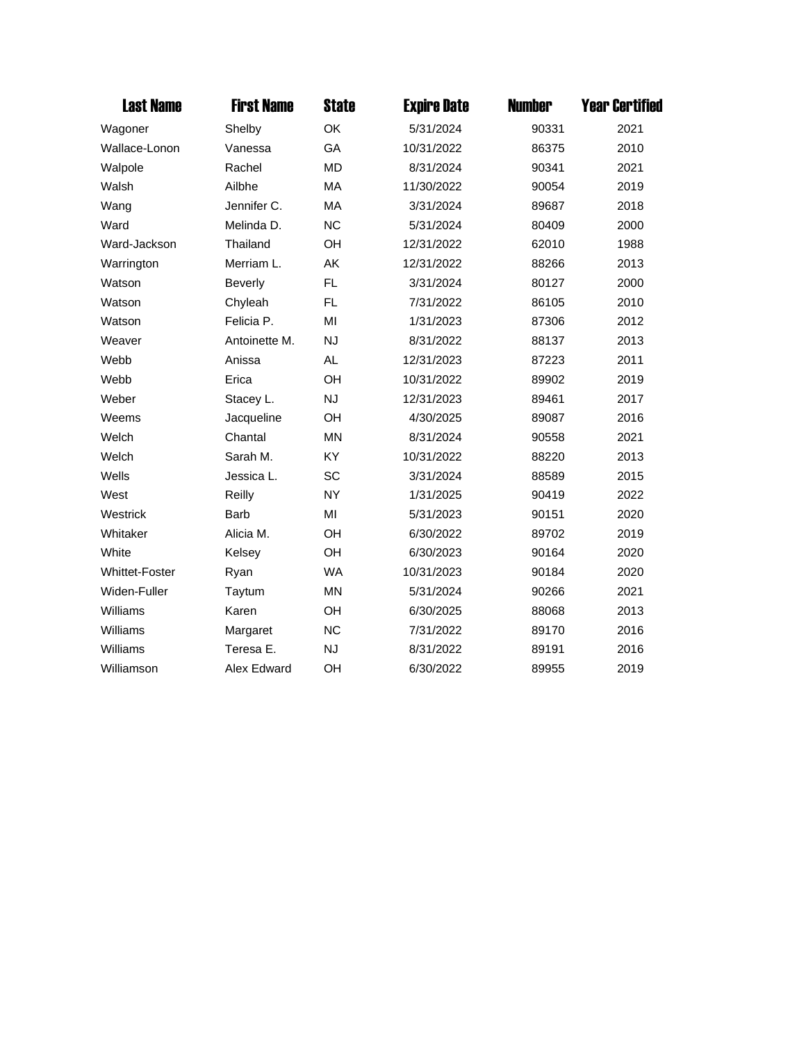| <b>Last Name</b>      | <b>First Name</b> | <b>State</b> | <b>Expire Date</b> | <b>Number</b> | <b>Year Certified</b> |
|-----------------------|-------------------|--------------|--------------------|---------------|-----------------------|
| Wagoner               | Shelby            | OK           | 5/31/2024          | 90331         | 2021                  |
| Wallace-Lonon         | Vanessa           | GA           | 10/31/2022         | 86375         | 2010                  |
| Walpole               | Rachel            | <b>MD</b>    | 8/31/2024          | 90341         | 2021                  |
| Walsh                 | Ailbhe            | MA           | 11/30/2022         | 90054         | 2019                  |
| Wang                  | Jennifer C.       | MA           | 3/31/2024          | 89687         | 2018                  |
| Ward                  | Melinda D.        | <b>NC</b>    | 5/31/2024          | 80409         | 2000                  |
| Ward-Jackson          | Thailand          | OH           | 12/31/2022         | 62010         | 1988                  |
| Warrington            | Merriam L.        | AK           | 12/31/2022         | 88266         | 2013                  |
| Watson                | <b>Beverly</b>    | FL.          | 3/31/2024          | 80127         | 2000                  |
| Watson                | Chyleah           | FL.          | 7/31/2022          | 86105         | 2010                  |
| Watson                | Felicia P.        | MI           | 1/31/2023          | 87306         | 2012                  |
| Weaver                | Antoinette M.     | <b>NJ</b>    | 8/31/2022          | 88137         | 2013                  |
| Webb                  | Anissa            | <b>AL</b>    | 12/31/2023         | 87223         | 2011                  |
| Webb                  | Erica             | OH           | 10/31/2022         | 89902         | 2019                  |
| Weber                 | Stacey L.         | <b>NJ</b>    | 12/31/2023         | 89461         | 2017                  |
| Weems                 | Jacqueline        | OH           | 4/30/2025          | 89087         | 2016                  |
| Welch                 | Chantal           | <b>MN</b>    | 8/31/2024          | 90558         | 2021                  |
| Welch                 | Sarah M.          | KY           | 10/31/2022         | 88220         | 2013                  |
| Wells                 | Jessica L.        | <b>SC</b>    | 3/31/2024          | 88589         | 2015                  |
| West                  | Reilly            | <b>NY</b>    | 1/31/2025          | 90419         | 2022                  |
| Westrick              | <b>Barb</b>       | MI           | 5/31/2023          | 90151         | 2020                  |
| Whitaker              | Alicia M.         | OH           | 6/30/2022          | 89702         | 2019                  |
| White                 | Kelsey            | OH           | 6/30/2023          | 90164         | 2020                  |
| <b>Whittet-Foster</b> | Ryan              | <b>WA</b>    | 10/31/2023         | 90184         | 2020                  |
| Widen-Fuller          | Taytum            | <b>MN</b>    | 5/31/2024          | 90266         | 2021                  |
| Williams              | Karen             | OH           | 6/30/2025          | 88068         | 2013                  |
| Williams              | Margaret          | <b>NC</b>    | 7/31/2022          | 89170         | 2016                  |
| Williams              | Teresa E.         | <b>NJ</b>    | 8/31/2022          | 89191         | 2016                  |
| Williamson            | Alex Edward       | OH           | 6/30/2022          | 89955         | 2019                  |